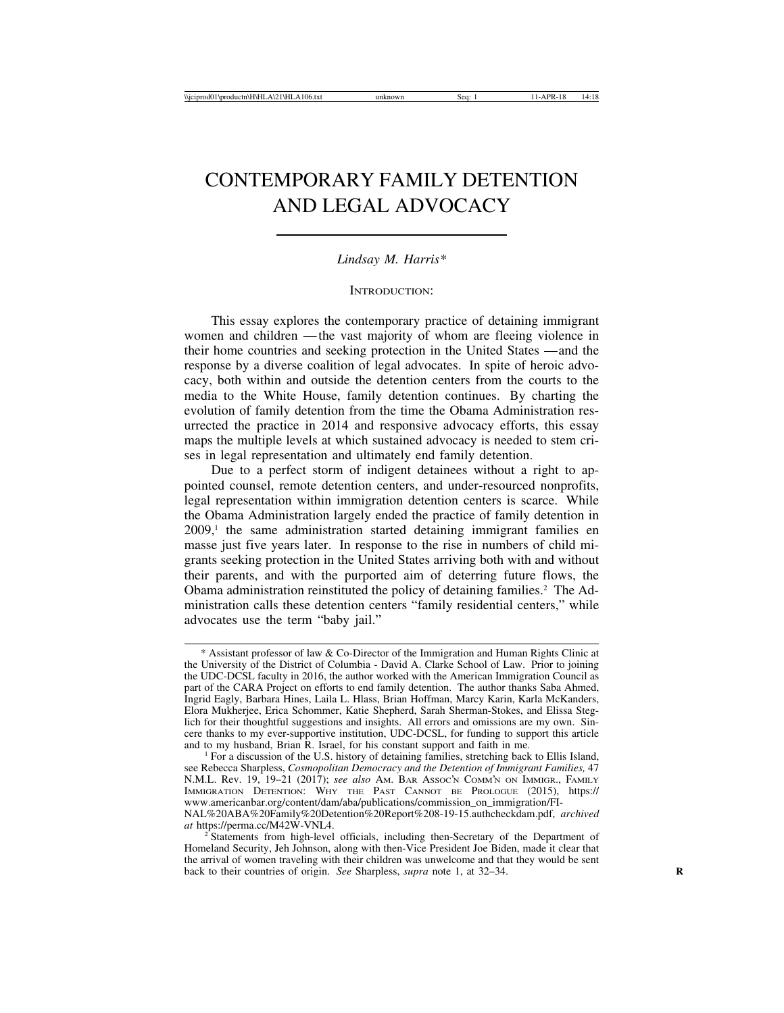# CONTEMPORARY FAMILY DETENTION AND LEGAL ADVOCACY

*Lindsay M. Harris\**

INTRODUCTION:

This essay explores the contemporary practice of detaining immigrant women and children — the vast majority of whom are fleeing violence in their home countries and seeking protection in the United States — and the response by a diverse coalition of legal advocates. In spite of heroic advocacy, both within and outside the detention centers from the courts to the media to the White House, family detention continues. By charting the evolution of family detention from the time the Obama Administration resurrected the practice in 2014 and responsive advocacy efforts, this essay maps the multiple levels at which sustained advocacy is needed to stem crises in legal representation and ultimately end family detention.

Due to a perfect storm of indigent detainees without a right to appointed counsel, remote detention centers, and under-resourced nonprofits, legal representation within immigration detention centers is scarce. While the Obama Administration largely ended the practice of family detention in 2009,1 the same administration started detaining immigrant families en masse just five years later. In response to the rise in numbers of child migrants seeking protection in the United States arriving both with and without their parents, and with the purported aim of deterring future flows, the Obama administration reinstituted the policy of detaining families.2 The Administration calls these detention centers "family residential centers," while advocates use the term "baby jail."

<sup>\*</sup> Assistant professor of law & Co-Director of the Immigration and Human Rights Clinic at the University of the District of Columbia - David A. Clarke School of Law. Prior to joining the UDC-DCSL faculty in 2016, the author worked with the American Immigration Council as part of the CARA Project on efforts to end family detention. The author thanks Saba Ahmed, Ingrid Eagly, Barbara Hines, Laila L. Hlass, Brian Hoffman, Marcy Karin, Karla McKanders, Elora Mukherjee, Erica Schommer, Katie Shepherd, Sarah Sherman-Stokes, and Elissa Steglich for their thoughtful suggestions and insights. All errors and omissions are my own. Sincere thanks to my ever-supportive institution, UDC-DCSL, for funding to support this article and to my husband, Brian R. Israel, for his constant support and faith in me.

For a discussion of the U.S. history of detaining families, stretching back to Ellis Island, see Rebecca Sharpless, *Cosmopolitan Democracy and the Detention of Immigrant Families,* 47 N.M.L. Rev. 19, 19–21 (2017); *see also* AM. BAR ASSOC'N COMM'N ON IMMIGR., FAMILY IMMIGRATION DETENTION: WHY THE PAST CANNOT BE PROLOGUE (2015), https:// www.americanbar.org/content/dam/aba/publications/commission\_on\_immigration/FI-NAL%20ABA%20Family%20Detention%20Report%208-19-15.authcheckdam.pdf, *archived*

<sup>&</sup>lt;sup>2</sup> Statements from high-level officials, including then-Secretary of the Department of Homeland Security, Jeh Johnson, along with then-Vice President Joe Biden, made it clear that the arrival of women traveling with their children was unwelcome and that they would be sent back to their countries of origin. *See* Sharpless, *supra* note 1, at 32–34. **R**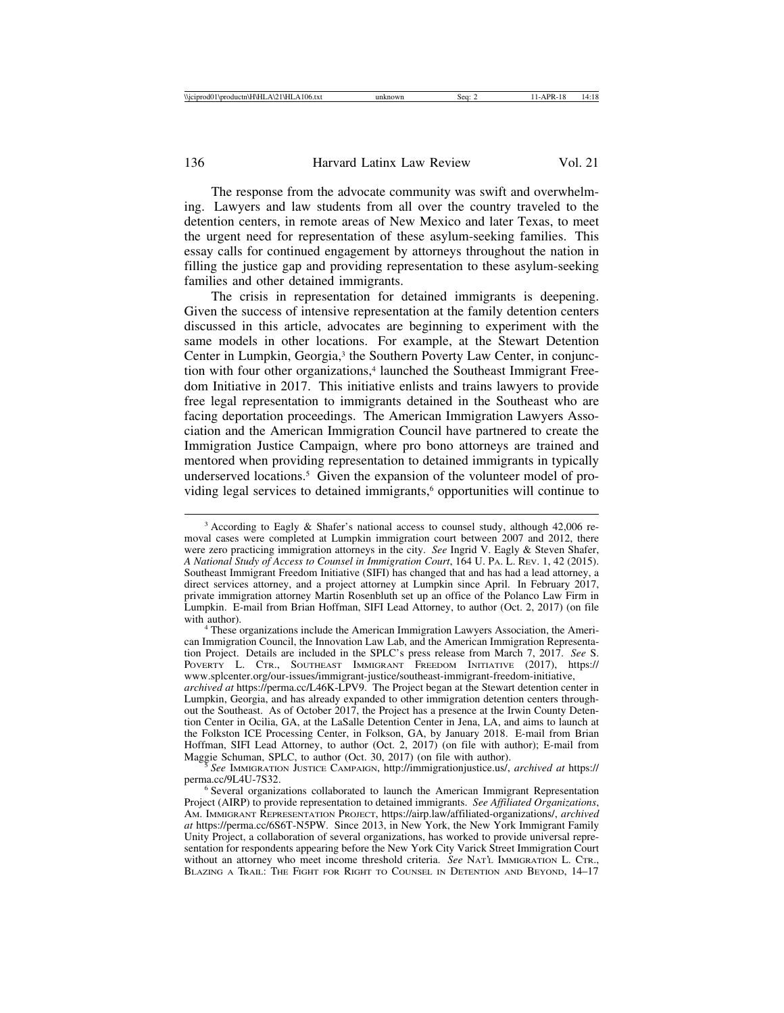The response from the advocate community was swift and overwhelming. Lawyers and law students from all over the country traveled to the detention centers, in remote areas of New Mexico and later Texas, to meet the urgent need for representation of these asylum-seeking families. This essay calls for continued engagement by attorneys throughout the nation in filling the justice gap and providing representation to these asylum-seeking families and other detained immigrants.

The crisis in representation for detained immigrants is deepening. Given the success of intensive representation at the family detention centers discussed in this article, advocates are beginning to experiment with the same models in other locations. For example, at the Stewart Detention Center in Lumpkin, Georgia,<sup>3</sup> the Southern Poverty Law Center, in conjunction with four other organizations,<sup>4</sup> launched the Southeast Immigrant Freedom Initiative in 2017. This initiative enlists and trains lawyers to provide free legal representation to immigrants detained in the Southeast who are facing deportation proceedings. The American Immigration Lawyers Association and the American Immigration Council have partnered to create the Immigration Justice Campaign, where pro bono attorneys are trained and mentored when providing representation to detained immigrants in typically underserved locations.<sup>5</sup> Given the expansion of the volunteer model of providing legal services to detained immigrants,<sup>6</sup> opportunities will continue to

can Immigration Council, the Innovation Law Lab, and the American Immigration Representation Project. Details are included in the SPLC's press release from March 7, 2017. *See* S. POVERTY L. CTR., SOUTHEAST IMMIGRANT FREEDOM INITIATIVE (2017), https:// www.splcenter.org/our-issues/immigrant-justice/southeast-immigrant-freedom-initiative,

*archived at* https://perma.cc/L46K-LPV9. The Project began at the Stewart detention center in Lumpkin, Georgia, and has already expanded to other immigration detention centers throughout the Southeast. As of October 2017, the Project has a presence at the Irwin County Detention Center in Ocilia, GA, at the LaSalle Detention Center in Jena, LA, and aims to launch at the Folkston ICE Processing Center, in Folkson, GA, by January 2018. E-mail from Brian Hoffman, SIFI Lead Attorney, to author (Oct. 2, 2017) (on file with author); E-mail from Maggie Schuman, SPLC, to author (Oct. 30, 2017) (on file with author).

<sup>5</sup> See IMMIGRATION JUSTICE CAMPAIGN, http://immigrationjustice.us/, *archived at* https://<br>perma.cc/9L4U-7S32.

<sup>&</sup>lt;sup>3</sup> According to Eagly & Shafer's national access to counsel study, although 42,006 removal cases were completed at Lumpkin immigration court between 2007 and 2012, there were zero practicing immigration attorneys in the city. *See* Ingrid V. Eagly & Steven Shafer, *A National Study of Access to Counsel in Immigration Court*, 164 U. PA. L. REV. 1, 42 (2015). Southeast Immigrant Freedom Initiative (SIFI) has changed that and has had a lead attorney, a direct services attorney, and a project attorney at Lumpkin since April. In February 2017, private immigration attorney Martin Rosenbluth set up an office of the Polanco Law Firm in Lumpkin. E-mail from Brian Hoffman, SIFI Lead Attorney, to author (Oct. 2, 2017) (on file with author).<br><sup>4</sup> These organizations include the American Immigration Lawyers Association, the Ameri-

<sup>&</sup>lt;sup>6</sup> Several organizations collaborated to launch the American Immigrant Representation Project (AIRP) to provide representation to detained immigrants. *See Affiliated Organizations*, AM. IMMIGRANT REPRESENTATION PROJECT, https://airp.law/affiliated-organizations/, *archived at* https://perma.cc/6S6T-N5PW. Since 2013, in New York, the New York Immigrant Family Unity Project, a collaboration of several organizations, has worked to provide universal representation for respondents appearing before the New York City Varick Street Immigration Court without an attorney who meet income threshold criteria. *See* NAT'L IMMIGRATION L. CTR., BLAZING A TRAIL: THE FIGHT FOR RIGHT TO COUNSEL IN DETENTION AND BEYOND, 14–17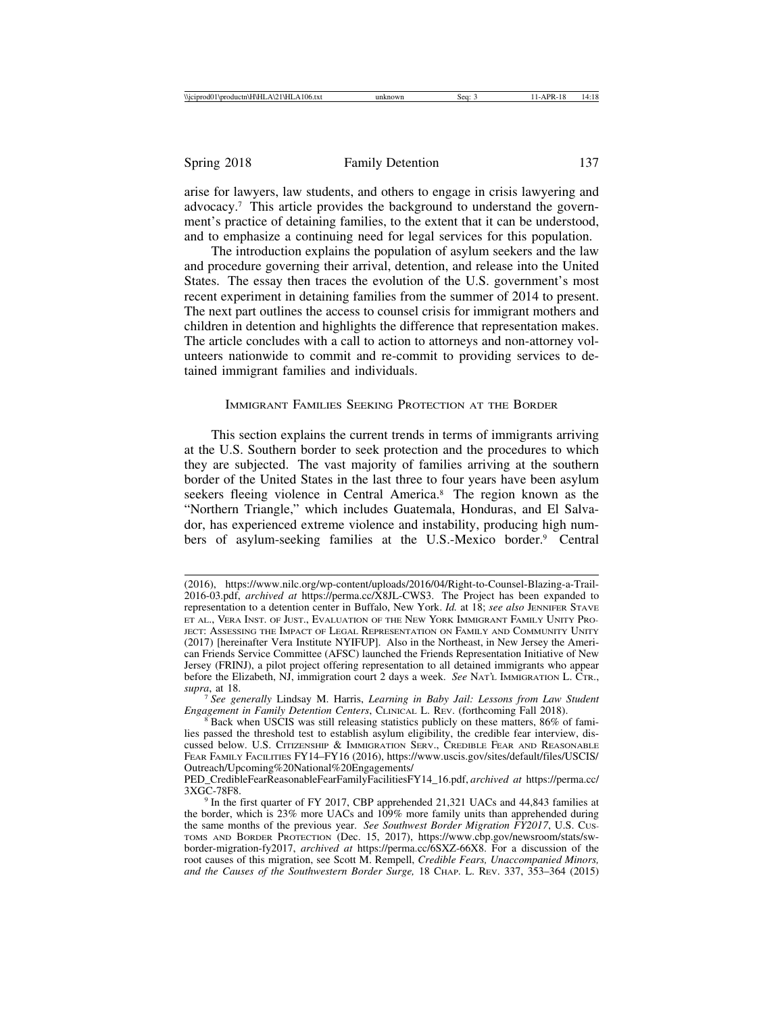arise for lawyers, law students, and others to engage in crisis lawyering and advocacy.7 This article provides the background to understand the government's practice of detaining families, to the extent that it can be understood, and to emphasize a continuing need for legal services for this population.

The introduction explains the population of asylum seekers and the law and procedure governing their arrival, detention, and release into the United States. The essay then traces the evolution of the U.S. government's most recent experiment in detaining families from the summer of 2014 to present. The next part outlines the access to counsel crisis for immigrant mothers and children in detention and highlights the difference that representation makes. The article concludes with a call to action to attorneys and non-attorney volunteers nationwide to commit and re-commit to providing services to detained immigrant families and individuals.

## IMMIGRANT FAMILIES SEEKING PROTECTION AT THE BORDER

This section explains the current trends in terms of immigrants arriving at the U.S. Southern border to seek protection and the procedures to which they are subjected. The vast majority of families arriving at the southern border of the United States in the last three to four years have been asylum seekers fleeing violence in Central America.8 The region known as the "Northern Triangle," which includes Guatemala, Honduras, and El Salvador, has experienced extreme violence and instability, producing high numbers of asylum-seeking families at the U.S.-Mexico border.9 Central

<sup>(2016),</sup> https://www.nilc.org/wp-content/uploads/2016/04/Right-to-Counsel-Blazing-a-Trail-2016-03.pdf, *archived at* https://perma.cc/X8JL-CWS3. The Project has been expanded to representation to a detention center in Buffalo, New York. *Id.* at 18; *see also* JENNIFER STAVE ET AL., VERA INST. OF JUST., EVALUATION OF THE NEW YORK IMMIGRANT FAMILY UNITY PRO-JECT: ASSESSING THE IMPACT OF LEGAL REPRESENTATION ON FAMILY AND COMMUNITY UNITY (2017) [hereinafter Vera Institute NYIFUP]. Also in the Northeast, in New Jersey the American Friends Service Committee (AFSC) launched the Friends Representation Initiative of New Jersey (FRINJ), a pilot project offering representation to all detained immigrants who appear before the Elizabeth, NJ, immigration court 2 days a week. *See* NAT'L IMMIGRATION L. CTR., *supra*, at 18.

<sup>7</sup> *See generally* Lindsay M. Harris, *Learning in Baby Jail: Lessons from Law Student Engagement in Family Detention Centers*, CLINICAL L. REV. (forthcoming Fall 2018).<br><sup>8</sup> Back when USCIS was still releasing statistics publicly on these matters, 86% of fami-

lies passed the threshold test to establish asylum eligibility, the credible fear interview, discussed below. U.S. CITIZENSHIP & IMMIGRATION SERV., CREDIBLE FEAR AND REASONABLE FEAR FAMILY FACILITIES FY14–FY16 (2016), https://www.uscis.gov/sites/default/files/USCIS/ Outreach/Upcoming%20National%20Engagements/

PED\_CredibleFearReasonableFearFamilyFacilitiesFY14\_16.pdf, *archived at* https://perma.cc/

 $9$  In the first quarter of FY 2017, CBP apprehended 21,321 UACs and 44,843 families at the border, which is 23% more UACs and 109% more family units than apprehended during the same months of the previous year. *See Southwest Border Migration FY2017*, U.S. CUS-TOMS AND BORDER PROTECTION (Dec. 15, 2017), https://www.cbp.gov/newsroom/stats/swborder-migration-fy2017, *archived at* https://perma.cc/6SXZ-66X8. For a discussion of the root causes of this migration, see Scott M. Rempell, *Credible Fears, Unaccompanied Minors, and the Causes of the Southwestern Border Surge,* 18 CHAP. L. REV. 337, 353–364 (2015)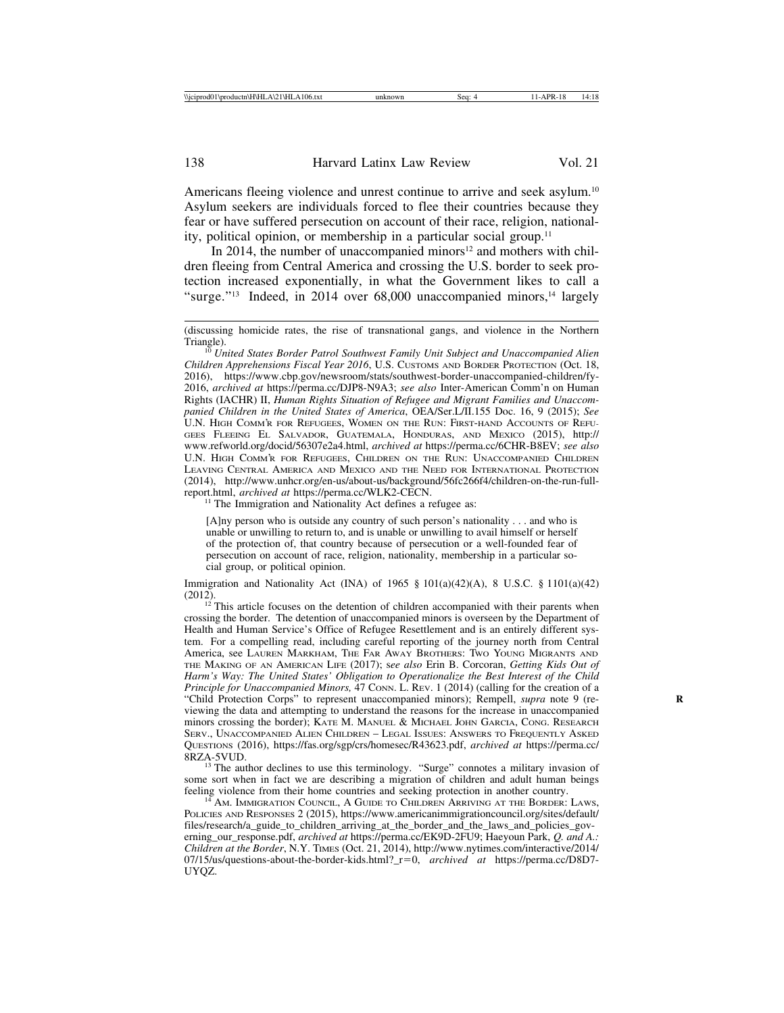Americans fleeing violence and unrest continue to arrive and seek asylum.<sup>10</sup> Asylum seekers are individuals forced to flee their countries because they fear or have suffered persecution on account of their race, religion, nationality, political opinion, or membership in a particular social group.11

In 2014, the number of unaccompanied minors<sup>12</sup> and mothers with children fleeing from Central America and crossing the U.S. border to seek protection increased exponentially, in what the Government likes to call a "surge."<sup>13</sup> Indeed, in 2014 over 68,000 unaccompanied minors,<sup>14</sup> largely

<sup>11</sup> The Immigration and Nationality Act defines a refugee as:

[A]ny person who is outside any country of such person's nationality . . . and who is unable or unwilling to return to, and is unable or unwilling to avail himself or herself of the protection of, that country because of persecution or a well-founded fear of persecution on account of race, religion, nationality, membership in a particular social group, or political opinion.

Immigration and Nationality Act (INA) of  $1965 \S 101(a)(42)(A)$ , 8 U.S.C.  $\S 1101(a)(42)$  $(2012)$ .<br><sup>12</sup> This article focuses on the detention of children accompanied with their parents when

crossing the border. The detention of unaccompanied minors is overseen by the Department of Health and Human Service's Office of Refugee Resettlement and is an entirely different system. For a compelling read, including careful reporting of the journey north from Central America, see LAUREN MARKHAM, THE FAR AWAY BROTHERS: TWO YOUNG MIGRANTS AND THE MAKING OF AN AMERICAN LIFE (2017); s*ee also* Erin B. Corcoran, *Getting Kids Out of Harm's Way: The United States' Obligation to Operationalize the Best Interest of the Child Principle for Unaccompanied Minors,* 47 CONN. L. REV. 1 (2014) (calling for the creation of a "Child Protection Corps" to represent unaccompanied minors); Rempell, *supra* note 9 (reviewing the data and attempting to understand the reasons for the increase in unaccompanied minors crossing the border); KATE M. MANUEL & MICHAEL JOHN GARCIA, CONG. RESEARCH SERV., UNACCOMPANIED ALIEN CHILDREN – LEGAL ISSUES: ANSWERS TO FREQUENTLY ASKED QUESTIONS (2016), https://fas.org/sgp/crs/homesec/R43623.pdf, *archived at* https://perma.cc/

<sup>13</sup> The author declines to use this terminology. "Surge" connotes a military invasion of some sort when in fact we are describing a migration of children and adult human beings feeling violence from their home countries and seeking protection in another country.

<sup>14</sup> AM. IMMIGRATION COUNCIL, A GUIDE TO CHILDREN ARRIVING AT THE BORDER: LAWS, POLICIES AND RESPONSES 2 (2015), https://www.americanimmigrationcouncil.org/sites/default/ files/research/a\_guide\_to\_children\_arriving\_at\_the\_border\_and\_the\_laws\_and\_policies\_governing\_our\_response.pdf, *archived at* https://perma.cc/EK9D-2FU9; Haeyoun Park, *Q. and A.: Children at the Border*, N.Y. TIMES (Oct. 21, 2014), http://www.nytimes.com/interactive/2014/ 07/15/us/questions-about-the-border-kids.html?\_r=0, *archived at* https://perma.cc/D8D7- UYQZ.

<sup>(</sup>discussing homicide rates, the rise of transnational gangs, and violence in the Northern

<sup>&</sup>lt;sup>10</sup> United States Border Patrol Southwest Family Unit Subject and Unaccompanied Alien *Children Apprehensions Fiscal Year 2016*, U.S. CUSTOMS AND BORDER PROTECTION (Oct. 18, 2016), https://www.cbp.gov/newsroom/stats/southwest-border-unaccompanied-children/fy-2016, *archived at* https://perma.cc/DJP8-N9A3; *see also* Inter-American Comm'n on Human Rights (IACHR) II, *Human Rights Situation of Refugee and Migrant Families and Unaccompanied Children in the United States of America*, OEA/Ser.L/II.155 Doc. 16, 9 (2015); *See* U.N. HIGH COMM'R FOR REFUGEES, WOMEN ON THE RUN: FIRST-HAND ACCOUNTS OF REFU-GEES FLEEING EL SALVADOR, GUATEMALA, HONDURAS, AND MEXICO (2015), http:// www.refworld.org/docid/56307e2a4.html, *archived at* https://perma.cc/6CHR-B8EV; *see also* U.N. HIGH COMM'R FOR REFUGEES, CHILDREN ON THE RUN: UNACCOMPANIED CHILDREN LEAVING CENTRAL AMERICA AND MEXICO AND THE NEED FOR INTERNATIONAL PROTECTION (2014), http://www.unhcr.org/en-us/about-us/background/56fc266f4/children-on-the-run-full-<br>report.html. archived at https://perma.cc/WLK2-CECN.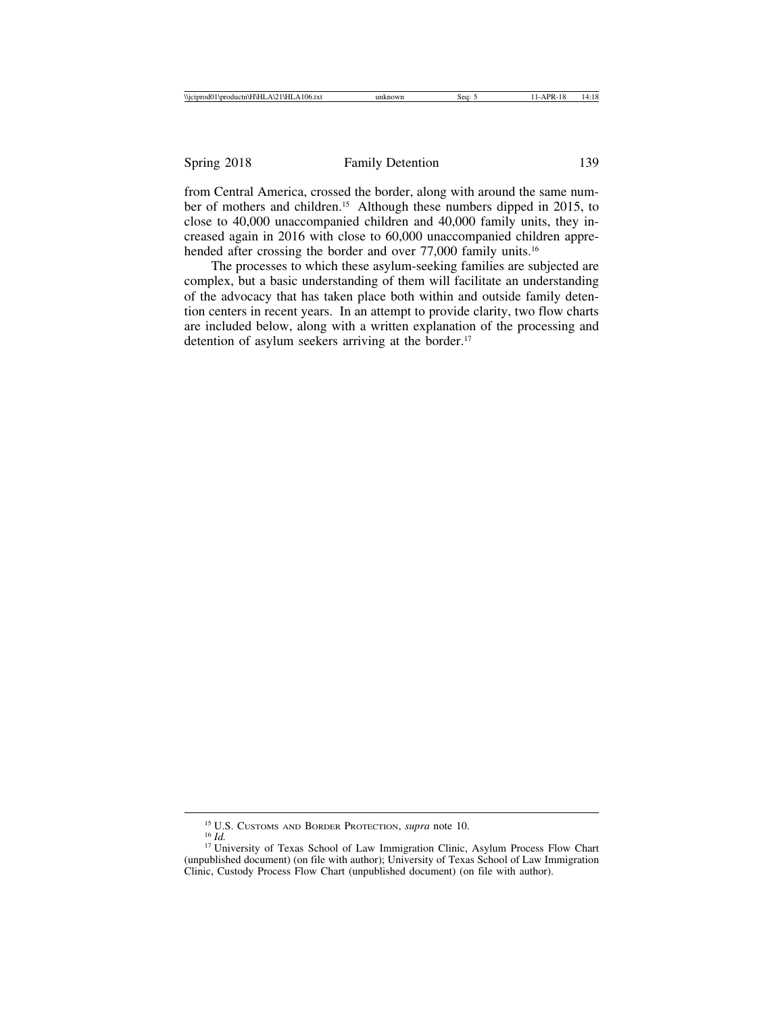from Central America, crossed the border, along with around the same number of mothers and children.<sup>15</sup> Although these numbers dipped in 2015, to close to 40,000 unaccompanied children and 40,000 family units, they increased again in 2016 with close to 60,000 unaccompanied children apprehended after crossing the border and over 77,000 family units.<sup>16</sup>

The processes to which these asylum-seeking families are subjected are complex, but a basic understanding of them will facilitate an understanding of the advocacy that has taken place both within and outside family detention centers in recent years. In an attempt to provide clarity, two flow charts are included below, along with a written explanation of the processing and detention of asylum seekers arriving at the border.<sup>17</sup>

<sup>&</sup>lt;sup>15</sup> U.S. Customs and Border Protection, *supra* note 10.<br><sup>16</sup> *Id.* 17 University of Texas School of Law Immigration Clinic, Asylum Process Flow Chart (unpublished document) (on file with author); University of Texas School of Law Immigration Clinic, Custody Process Flow Chart (unpublished document) (on file with author).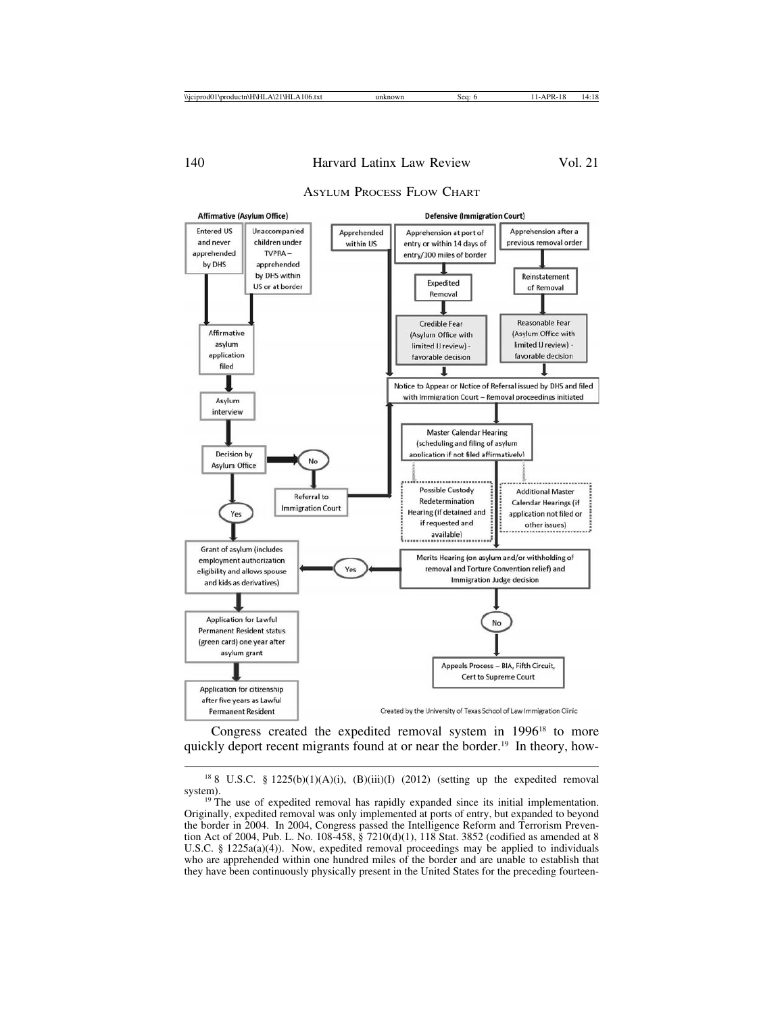## ASYLUM PROCESS FLOW CHART



Congress created the expedited removal system in 1996<sup>18</sup> to more quickly deport recent migrants found at or near the border.<sup>19</sup> In theory, how-

 $188$  U.S.C. § 1225(b)(1)(A)(i), (B)(iii)(I) (2012) (setting up the expedited removal

system).<br><sup>19</sup> The use of expedited removal has rapidly expanded since its initial implementation. Originally, expedited removal was only implemented at ports of entry, but expanded to beyond the border in 2004. In 2004, Congress passed the Intelligence Reform and Terrorism Prevention Act of 2004, Pub. L. No. 108-458, § 7210(d)(1), 118 Stat. 3852 (codified as amended at 8 U.S.C. §  $1225a(a)(4)$ ). Now, expedited removal proceedings may be applied to individuals who are apprehended within one hundred miles of the border and are unable to establish that they have been continuously physically present in the United States for the preceding fourteen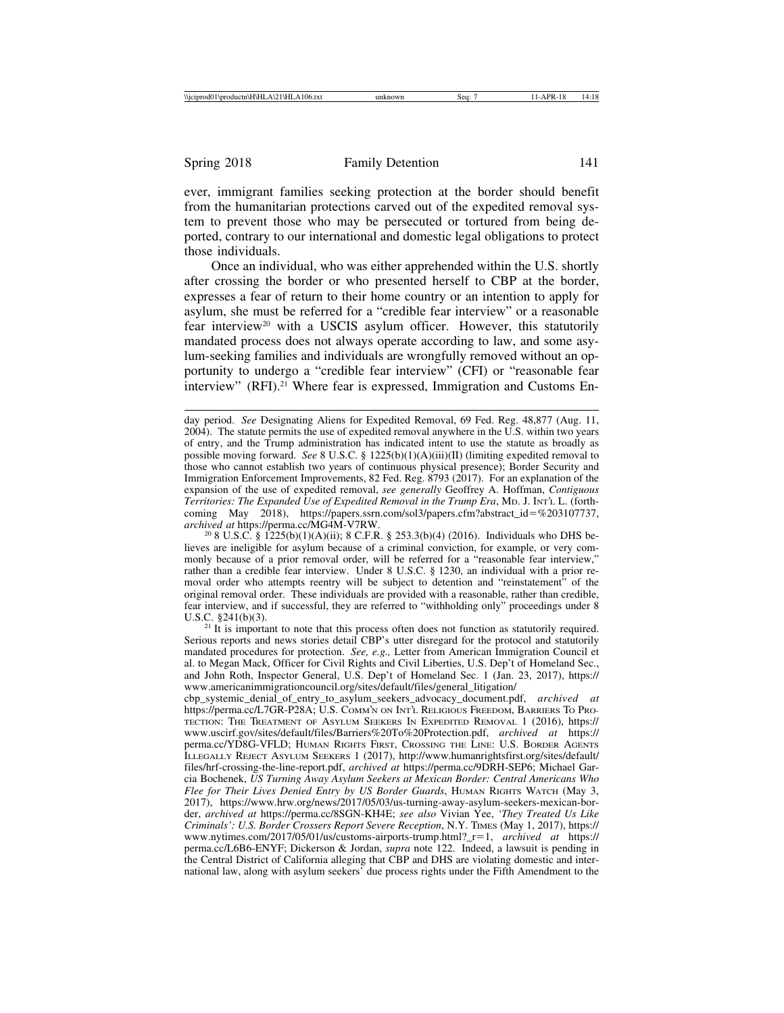ever, immigrant families seeking protection at the border should benefit from the humanitarian protections carved out of the expedited removal system to prevent those who may be persecuted or tortured from being deported, contrary to our international and domestic legal obligations to protect those individuals.

Once an individual, who was either apprehended within the U.S. shortly after crossing the border or who presented herself to CBP at the border, expresses a fear of return to their home country or an intention to apply for asylum, she must be referred for a "credible fear interview" or a reasonable fear interview<sup>20</sup> with a USCIS asylum officer. However, this statutorily mandated process does not always operate according to law, and some asylum-seeking families and individuals are wrongfully removed without an opportunity to undergo a "credible fear interview" (CFI) or "reasonable fear interview" (RFI).<sup>21</sup> Where fear is expressed, Immigration and Customs En-

 $21$  It is important to note that this process often does not function as statutorily required. Serious reports and news stories detail CBP's utter disregard for the protocol and statutorily mandated procedures for protection. *See, e.g.,* Letter from American Immigration Council et al. to Megan Mack, Officer for Civil Rights and Civil Liberties, U.S. Dep't of Homeland Sec., and John Roth, Inspector General, U.S. Dep't of Homeland Sec. 1 (Jan. 23, 2017), https:// www.americanimmigrationcouncil.org/sites/default/files/general\_litigation/

cbp\_systemic\_denial\_of\_entry\_to\_asylum\_seekers\_advocacy\_document.pdf, *archived at* https://perma.cc/L7GR-P28A; U.S. COMM'N ON INT'L RELIGIOUS FREEDOM, BARRIERS TO PRO-TECTION: THE TREATMENT OF ASYLUM SEEKERS IN EXPEDITED REMOVAL 1 (2016), https:// www.uscirf.gov/sites/default/files/Barriers%20To%20Protection.pdf, *archived at* https:// perma.cc/YD8G-VFLD; HUMAN RIGHTS FIRST, CROSSING THE LINE: U.S. BORDER AGENTS ILLEGALLY REJECT ASYLUM SEEKERS 1 (2017), http://www.humanrightsfirst.org/sites/default/ files/hrf-crossing-the-line-report.pdf, *archived at* https://perma.cc/9DRH-SEP6; Michael Garcia Bochenek, *US Turning Away Asylum Seekers at Mexican Border: Central Americans Who Flee for Their Lives Denied Entry by US Border Guards*, HUMAN RIGHTS WATCH (May 3, 2017), https://www.hrw.org/news/2017/05/03/us-turning-away-asylum-seekers-mexican-border, *archived at* https://perma.cc/8SGN-KH4E; *see also* Vivian Yee, *'They Treated Us Like Criminals': U.S. Border Crossers Report Severe Reception*, N.Y. TIMES (May 1, 2017), https:// www.nytimes.com/2017/05/01/us/customs-airports-trump.html?\_r=1, *archived at* https:// perma.cc/L6B6-ENYF; Dickerson & Jordan, *supra* note 122. Indeed, a lawsuit is pending in the Central District of California alleging that CBP and DHS are violating domestic and international law, along with asylum seekers' due process rights under the Fifth Amendment to the

day period. *See* Designating Aliens for Expedited Removal, 69 Fed. Reg. 48,877 (Aug. 11, 2004). The statute permits the use of expedited removal anywhere in the U.S. within two years of entry, and the Trump administration has indicated intent to use the statute as broadly as possible moving forward. *See* 8 U.S.C. § 1225(b)(1)(A)(iii)(II) (limiting expedited removal to those who cannot establish two years of continuous physical presence); Border Security and Immigration Enforcement Improvements, 82 Fed. Reg. 8793 (2017). For an explanation of the expansion of the use of expedited removal, *see generally* Geoffrey A. Hoffman, *Contiguous Territories: The Expanded Use of Expedited Removal in the Trump Era*, MD. J. INT'L L. (forthcoming May 2018), https://papers.ssrn.com/sol3/papers.cfm?abstract\_id=%203107737, archived at https://perma.cc/MG4M-V7RW.

<sup>&</sup>lt;sup>20</sup> 8 U.S.C. § 1225(b)(1)(A)(ii); 8 C.F.R. § 253.3(b)(4) (2016). Individuals who DHS believes are ineligible for asylum because of a criminal conviction, for example, or very commonly because of a prior removal order, will be referred for a "reasonable fear interview," rather than a credible fear interview. Under 8 U.S.C. § 1230, an individual with a prior removal order who attempts reentry will be subject to detention and "reinstatement" of the original removal order. These individuals are provided with a reasonable, rather than credible, fear interview, and if successful, they are referred to "withholding only" proceedings under 8 U.S.C. §241(b)(3).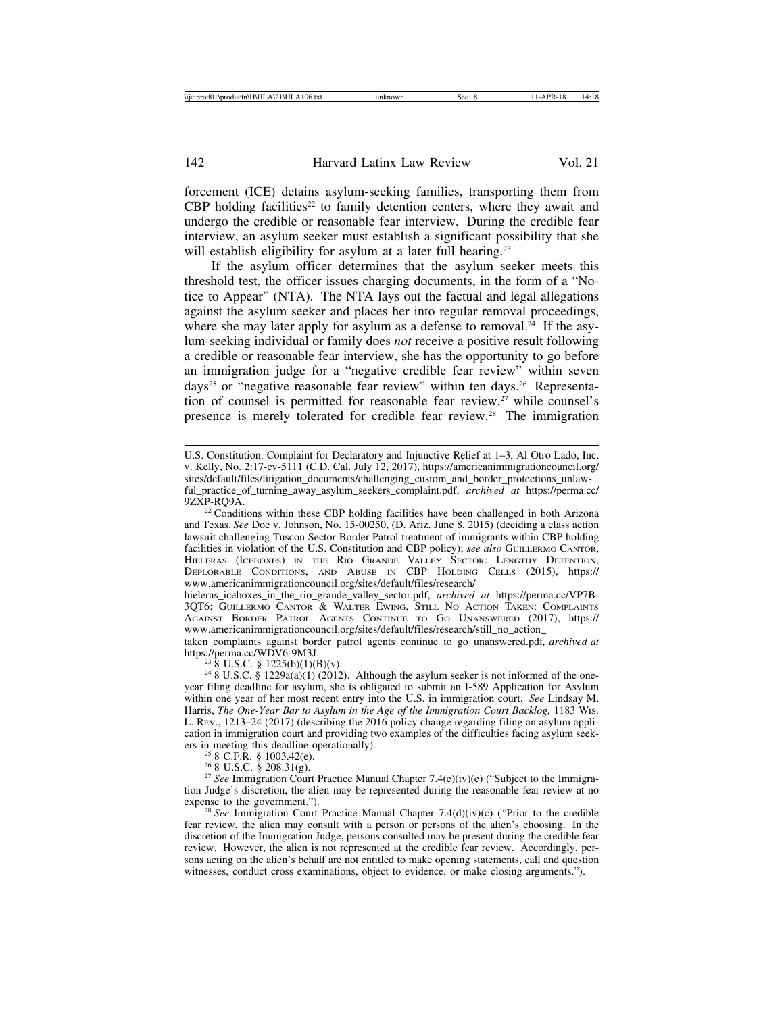forcement (ICE) detains asylum-seeking families, transporting them from CBP holding facilities<sup>22</sup> to family detention centers, where they await and undergo the credible or reasonable fear interview. During the credible fear interview, an asylum seeker must establish a significant possibility that she will establish eligibility for asylum at a later full hearing.<sup>23</sup>

If the asylum officer determines that the asylum seeker meets this threshold test, the officer issues charging documents, in the form of a "Notice to Appear" (NTA). The NTA lays out the factual and legal allegations against the asylum seeker and places her into regular removal proceedings, where she may later apply for asylum as a defense to removal.<sup>24</sup> If the asylum-seeking individual or family does *not* receive a positive result following a credible or reasonable fear interview, she has the opportunity to go before an immigration judge for a "negative credible fear review" within seven days<sup>25</sup> or "negative reasonable fear review" within ten days.<sup>26</sup> Representation of counsel is permitted for reasonable fear review,<sup>27</sup> while counsel's presence is merely tolerated for credible fear review.28 The immigration

hieleras\_iceboxes\_in\_the\_rio\_grande\_valley\_sector.pdf, *archived at* https://perma.cc/VP7B-3QT6; GUILLERMO CANTOR & WALTER EWING, STILL NO ACTION TAKEN: COMPLAINTS AGAINST BORDER PATROL AGENTS CONTINUE TO GO UNANSWERED (2017), https:// www.americanimmigrationcouncil.org/sites/default/files/research/still\_no\_action\_

taken\_complaints\_against\_border\_patrol\_agents\_continue\_to\_go\_unanswered.pdf*, archived at*

<sup>23</sup> 8 U.S.C. § 1225(b)(1)(B)(v).<br><sup>24</sup> 8 U.S.C. § 1229a(a)(1) (2012). Although the asylum seeker is not informed of the oneyear filing deadline for asylum, she is obligated to submit an I-589 Application for Asylum within one year of her most recent entry into the U.S. in immigration court. *See* Lindsay M. Harris, *The One-Year Bar to Asylum in the Age of the Immigration Court Backlog*, 1183 Wis. L. REV., 1213–24 (2017) (describing the 2016 policy change regarding filing an asylum application in immigration court and providing two examples of the difficulties facing asylum seek-<br>ers in meeting this deadline operationally).<br> $^{25}$  8 C.F.R. § 1003.42(e).

<sup>26</sup> 8 U.S.C. § 208.31(g).<br><sup>27</sup> *See* Immigration Court Practice Manual Chapter 7.4(e)(iv)(c) ("Subject to the Immigration Judge's discretion, the alien may be represented during the reasonable fear review at no expense to the government."). <sup>28</sup> *See* Immigration Court Practice Manual Chapter 7.4(d)(iv)(c) (*"*Prior to the credible

fear review, the alien may consult with a person or persons of the alien's choosing. In the discretion of the Immigration Judge, persons consulted may be present during the credible fear review. However, the alien is not represented at the credible fear review. Accordingly, persons acting on the alien's behalf are not entitled to make opening statements, call and question witnesses, conduct cross examinations, object to evidence, or make closing arguments.").

U.S. Constitution. Complaint for Declaratory and Injunctive Relief at 1–3, Al Otro Lado, Inc. v. Kelly, No. 2:17-cv-5111 (C.D. Cal. July 12, 2017), https://americanimmigrationcouncil.org/ sites/default/files/litigation\_documents/challenging\_custom\_and\_border\_protections\_unlawful\_practice\_of\_turning\_away\_asylum\_seekers\_complaint.pdf, *archived at* https://perma.cc/

<sup>&</sup>lt;sup>22</sup> Conditions within these CBP holding facilities have been challenged in both Arizona and Texas. *See* Doe v. Johnson, No. 15-00250, (D. Ariz. June 8, 2015) (deciding a class action lawsuit challenging Tuscon Sector Border Patrol treatment of immigrants within CBP holding facilities in violation of the U.S. Constitution and CBP policy); *see also* GUILLERMO CANTOR, HIELERAS (ICEBOXES) IN THE RIO GRANDE VALLEY SECTOR: LENGTHY DETENTION, DEPLORABLE CONDITIONS, AND ABUSE IN CBP HOLDING CELLS (2015), https:// www.americanimmigrationcouncil.org/sites/default/files/research/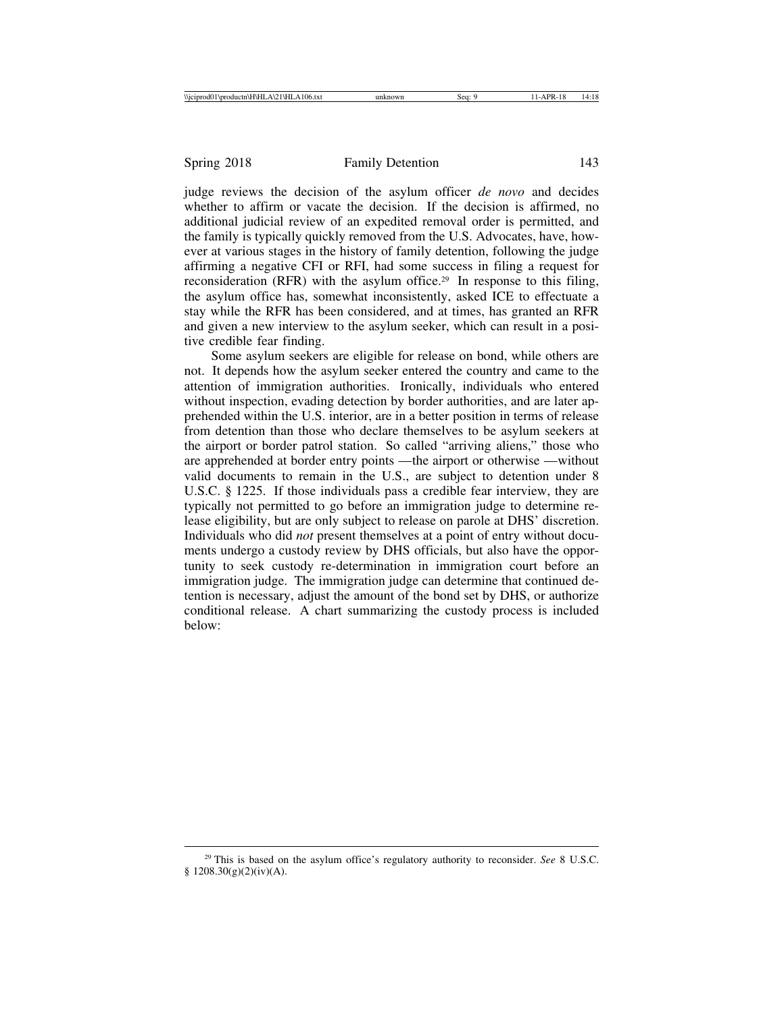judge reviews the decision of the asylum officer *de novo* and decides whether to affirm or vacate the decision. If the decision is affirmed, no additional judicial review of an expedited removal order is permitted, and the family is typically quickly removed from the U.S. Advocates, have, however at various stages in the history of family detention, following the judge affirming a negative CFI or RFI, had some success in filing a request for reconsideration (RFR) with the asylum office.<sup>29</sup> In response to this filing, the asylum office has, somewhat inconsistently, asked ICE to effectuate a stay while the RFR has been considered, and at times, has granted an RFR and given a new interview to the asylum seeker, which can result in a positive credible fear finding.

Some asylum seekers are eligible for release on bond, while others are not. It depends how the asylum seeker entered the country and came to the attention of immigration authorities. Ironically, individuals who entered without inspection, evading detection by border authorities, and are later apprehended within the U.S. interior, are in a better position in terms of release from detention than those who declare themselves to be asylum seekers at the airport or border patrol station. So called "arriving aliens," those who are apprehended at border entry points — the airport or otherwise — without valid documents to remain in the U.S., are subject to detention under 8 U.S.C. § 1225. If those individuals pass a credible fear interview, they are typically not permitted to go before an immigration judge to determine release eligibility, but are only subject to release on parole at DHS' discretion. Individuals who did *not* present themselves at a point of entry without documents undergo a custody review by DHS officials, but also have the opportunity to seek custody re-determination in immigration court before an immigration judge. The immigration judge can determine that continued detention is necessary, adjust the amount of the bond set by DHS, or authorize conditional release. A chart summarizing the custody process is included below:

<sup>29</sup> This is based on the asylum office's regulatory authority to reconsider. *See* 8 U.S.C.  $$1208.30(g)(2)(iv)(A).$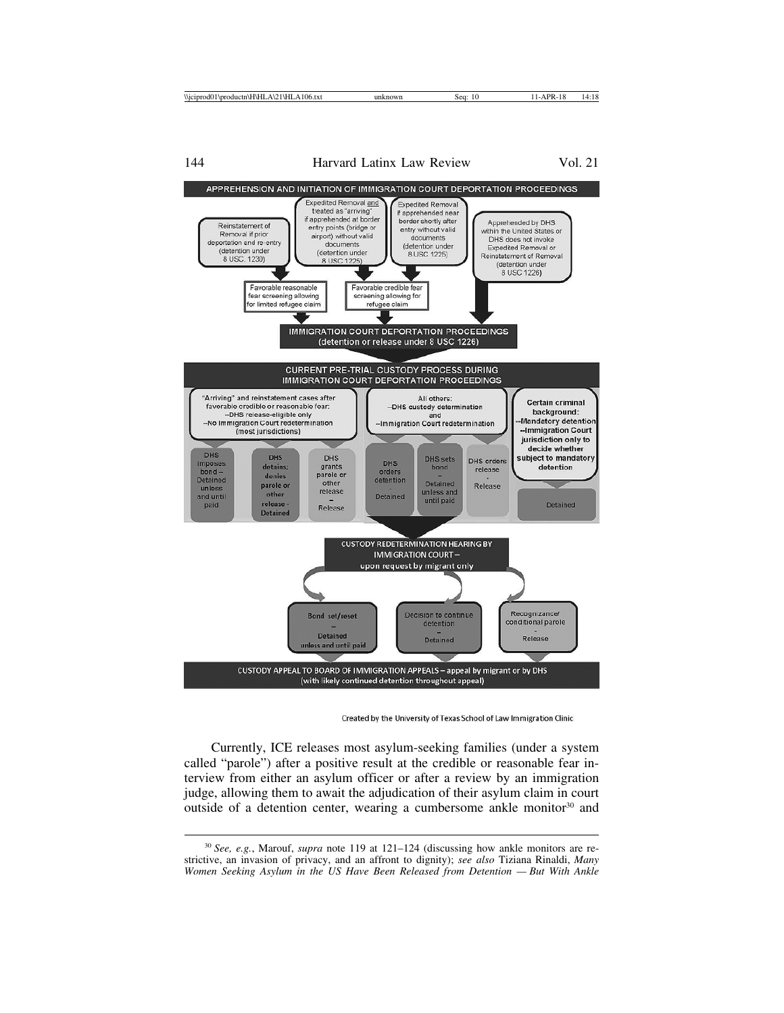144 Harvard Latinx Law Review Vol. 21



Created by the University of Texas School of Law Immigration Clinic

Currently, ICE releases most asylum-seeking families (under a system called "parole") after a positive result at the credible or reasonable fear interview from either an asylum officer or after a review by an immigration judge, allowing them to await the adjudication of their asylum claim in court outside of a detention center, wearing a cumbersome ankle monitor $30$  and

<sup>30</sup> *See, e.g.*, Marouf, *supra* note 119 at 121–124 (discussing how ankle monitors are restrictive, an invasion of privacy, and an affront to dignity); *see also* Tiziana Rinaldi, *Many Women Seeking Asylum in the US Have Been Released from Detention — But With Ankle*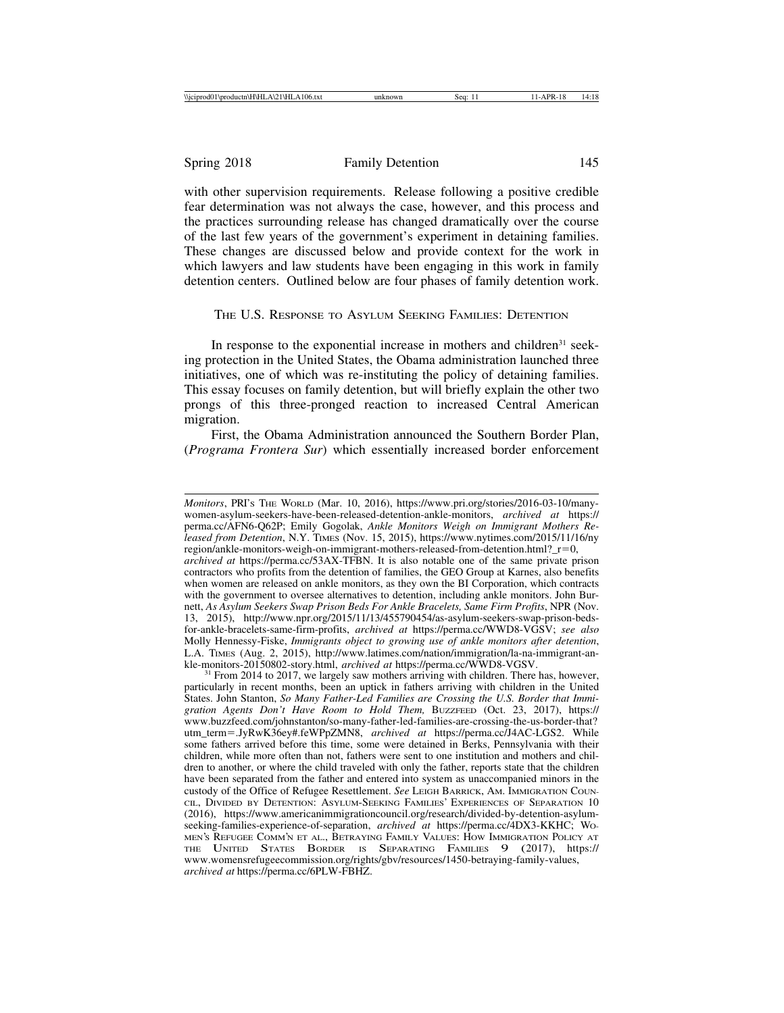with other supervision requirements. Release following a positive credible fear determination was not always the case, however, and this process and the practices surrounding release has changed dramatically over the course of the last few years of the government's experiment in detaining families. These changes are discussed below and provide context for the work in which lawyers and law students have been engaging in this work in family detention centers. Outlined below are four phases of family detention work.

THE U.S. RESPONSE TO ASYLUM SEEKING FAMILIES: DETENTION

In response to the exponential increase in mothers and children<sup>31</sup> seeking protection in the United States, the Obama administration launched three initiatives, one of which was re-instituting the policy of detaining families. This essay focuses on family detention, but will briefly explain the other two prongs of this three-pronged reaction to increased Central American migration.

First, the Obama Administration announced the Southern Border Plan, (*Programa Frontera Sur*) which essentially increased border enforcement

*Monitors*, PRI'S THE WORLD (Mar. 10, 2016), https://www.pri.org/stories/2016-03-10/manywomen-asylum-seekers-have-been-released-detention-ankle-monitors, *archived at* https:// perma.cc/AFN6-Q62P; Emily Gogolak, *Ankle Monitors Weigh on Immigrant Mothers Released from Detention*, N.Y. TIMES (Nov. 15, 2015), https://www.nytimes.com/2015/11/16/ny region/ankle-monitors-weigh-on-immigrant-mothers-released-from-detention.html?  $r=0$ , *archived at* https://perma.cc/53AX-TFBN. It is also notable one of the same private prison contractors who profits from the detention of families, the GEO Group at Karnes, also benefits when women are released on ankle monitors, as they own the BI Corporation, which contracts with the government to oversee alternatives to detention, including ankle monitors. John Burnett, *As Asylum Seekers Swap Prison Beds For Ankle Bracelets, Same Firm Profits*, NPR (Nov. 13, 2015), http://www.npr.org/2015/11/13/455790454/as-asylum-seekers-swap-prison-bedsfor-ankle-bracelets-same-firm-profits, *archived at* https://perma.cc/WWD8-VGSV; *see also* Molly Hennessy-Fiske, *Immigrants object to growing use of ankle monitors after detention*, L.A. TIMES (Aug. 2, 2015), http://www.latimes.com/nation/immigration/la-na-immigrant-an-<br>kle-monitors-20150802-story.html, *archived at* https://perma.cc/WWD8-VGSV.

<sup>&</sup>lt;sup>31</sup> From 2014 to 2017, we largely saw mothers arriving with children. There has, however, particularly in recent months, been an uptick in fathers arriving with children in the United States. John Stanton, *So Many Father-Led Families are Crossing the U.S. Border that Immigration Agents Don't Have Room to Hold Them,* BUZZFEED (Oct. 23, 2017), https:// www.buzzfeed.com/johnstanton/so-many-father-led-families-are-crossing-the-us-border-that? utm\_term=.JyRwK36ey#.feWPpZMN8, *archived at* https://perma.cc/J4AC-LGS2. While some fathers arrived before this time, some were detained in Berks, Pennsylvania with their children, while more often than not, fathers were sent to one institution and mothers and children to another, or where the child traveled with only the father, reports state that the children have been separated from the father and entered into system as unaccompanied minors in the custody of the Office of Refugee Resettlement. *See* LEIGH BARRICK, AM. IMMIGRATION COUN-CIL, DIVIDED BY DETENTION: ASYLUM-SEEKING FAMILIES' EXPERIENCES OF SEPARATION 10 (2016), https://www.americanimmigrationcouncil.org/research/divided-by-detention-asylumseeking-families-experience-of-separation, *archived at* https://perma.cc/4DX3-KKHC; WO-MEN'S REFUGEE COMM'N ET AL., BETRAYING FAMILY VALUES: HOW IMMIGRATION POLICY AT THE UNITED STATES BORDER IS SEPARATING FAMILIES 9 (2017), https:// www.womensrefugeecommission.org/rights/gbv/resources/1450-betraying-family-values, *archived at* https://perma.cc/6PLW-FBHZ.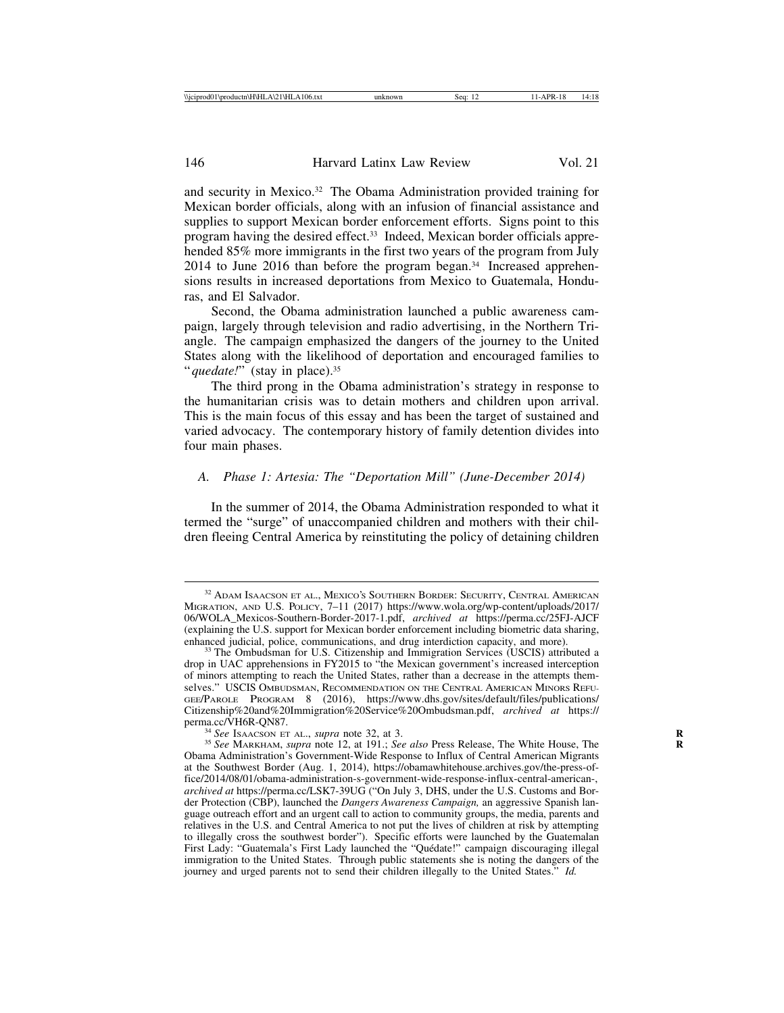and security in Mexico.32 The Obama Administration provided training for Mexican border officials, along with an infusion of financial assistance and supplies to support Mexican border enforcement efforts. Signs point to this program having the desired effect.33 Indeed, Mexican border officials apprehended 85% more immigrants in the first two years of the program from July 2014 to June 2016 than before the program began.<sup>34</sup> Increased apprehensions results in increased deportations from Mexico to Guatemala, Honduras, and El Salvador.

Second, the Obama administration launched a public awareness campaign, largely through television and radio advertising, in the Northern Triangle. The campaign emphasized the dangers of the journey to the United States along with the likelihood of deportation and encouraged families to "*quedate!*" (stay in place).<sup>35</sup>

The third prong in the Obama administration's strategy in response to the humanitarian crisis was to detain mothers and children upon arrival. This is the main focus of this essay and has been the target of sustained and varied advocacy. The contemporary history of family detention divides into four main phases.

### *A. Phase 1: Artesia: The "Deportation Mill" (June-December 2014)*

In the summer of 2014, the Obama Administration responded to what it termed the "surge" of unaccompanied children and mothers with their children fleeing Central America by reinstituting the policy of detaining children

<sup>&</sup>lt;sup>32</sup> ADAM ISAACSON ET AL., MEXICO'S SOUTHERN BORDER: SECURITY, CENTRAL AMERICAN MIGRATION, AND U.S. POLICY, 7–11 (2017) https://www.wola.org/wp-content/uploads/2017/ 06/WOLA\_Mexicos-Southern-Border-2017-1.pdf, *archived at* https://perma.cc/25FJ-AJCF (explaining the U.S. support for Mexican border enforcement including biometric data sharing, enhanced judicial, police, communications, and drug interdiction capacity, and more).

<sup>&</sup>lt;sup>33</sup> The Ombudsman for U.S. Citizenship and Immigration Services (USCIS) attributed a drop in UAC apprehensions in FY2015 to "the Mexican government's increased interception of minors attempting to reach the United States, rather than a decrease in the attempts themselves." USCIS OMBUDSMAN, RECOMMENDATION ON THE CENTRAL AMERICAN MINORS REFU-GEE/PAROLE PROGRAM 8 (2016), https://www.dhs.gov/sites/default/files/publications/ Citizenship%20and%20Immigration%20Service%20Ombudsman.pdf, *archived at* https://

<sup>&</sup>lt;sup>34</sup> See Isaacson Et al., *supra* note 32, at 3.<br><sup>35</sup> See Markham, *supra* note 12, at 191.; *See also* Press Release, The White House, The Obama Administration's Government-Wide Response to Influx of Central American Migrants at the Southwest Border (Aug. 1, 2014), https://obamawhitehouse.archives.gov/the-press-office/2014/08/01/obama-administration-s-government-wide-response-influx-central-american-, *archived at* https://perma.cc/LSK7-39UG ("On July 3, DHS, under the U.S. Customs and Border Protection (CBP), launched the *Dangers Awareness Campaign,* an aggressive Spanish language outreach effort and an urgent call to action to community groups, the media, parents and relatives in the U.S. and Central America to not put the lives of children at risk by attempting to illegally cross the southwest border"). Specific efforts were launched by the Guatemalan First Lady: "Guatemala's First Lady launched the "Quédate!" campaign discouraging illegal immigration to the United States. Through public statements she is noting the dangers of the journey and urged parents not to send their children illegally to the United States." *Id.*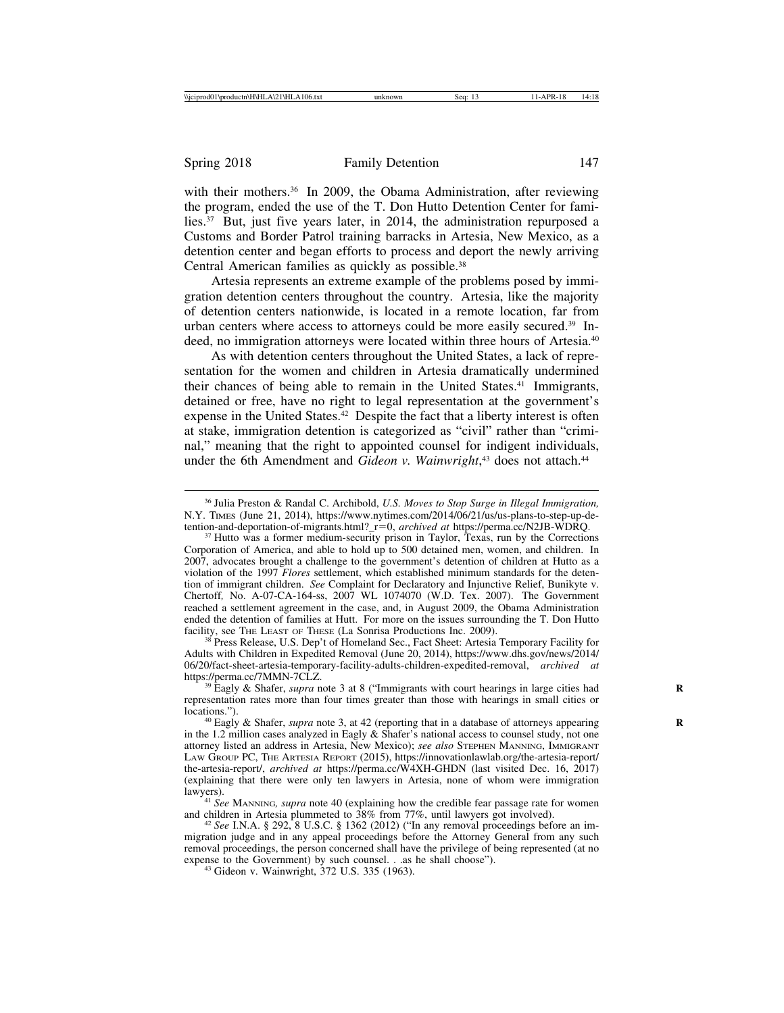with their mothers. $36$  In 2009, the Obama Administration, after reviewing the program, ended the use of the T. Don Hutto Detention Center for families.37 But, just five years later, in 2014, the administration repurposed a Customs and Border Patrol training barracks in Artesia, New Mexico, as a detention center and began efforts to process and deport the newly arriving Central American families as quickly as possible.<sup>38</sup>

Artesia represents an extreme example of the problems posed by immigration detention centers throughout the country. Artesia, like the majority of detention centers nationwide, is located in a remote location, far from urban centers where access to attorneys could be more easily secured.<sup>39</sup> Indeed, no immigration attorneys were located within three hours of Artesia.40

As with detention centers throughout the United States, a lack of representation for the women and children in Artesia dramatically undermined their chances of being able to remain in the United States.41 Immigrants, detained or free, have no right to legal representation at the government's expense in the United States.<sup>42</sup> Despite the fact that a liberty interest is often at stake, immigration detention is categorized as "civil" rather than "criminal," meaning that the right to appointed counsel for indigent individuals, under the 6th Amendment and *Gideon v. Wainwright*,<sup>43</sup> does not attach.<sup>44</sup>

<sup>38</sup> Press Release, U.S. Dep't of Homeland Sec., Fact Sheet: Artesia Temporary Facility for Adults with Children in Expedited Removal (June 20, 2014), https://www.dhs.gov/news/2014/ 06/20/fact-sheet-artesia-temporary-facility-adults-children-expedited-removal, *archived at*

<sup>36</sup> Julia Preston & Randal C. Archibold, *U.S. Moves to Stop Surge in Illegal Immigration,* N.Y. TIMES (June 21, 2014), https://www.nytimes.com/2014/06/21/us/us-plans-to-step-up-detention-and-deportation-of-migrants.html?\_r=0, *archived at* https://perma.cc/N2JB-WDRQ. <sup>37</sup> Hutto was a former medium-security prison in Taylor, Texas, run by the Corrections

Corporation of America, and able to hold up to 500 detained men, women, and children. In 2007, advocates brought a challenge to the government's detention of children at Hutto as a violation of the 1997 *Flores* settlement, which established minimum standards for the detention of immigrant children. *See* Complaint for Declaratory and Injunctive Relief, Bunikyte v. Chertoff*,* No. A-07-CA-164-ss, 2007 WL 1074070 (W.D. Tex. 2007). The Government reached a settlement agreement in the case, and, in August 2009, the Obama Administration ended the detention of families at Hutt. For more on the issues surrounding the T. Don Hutto facility, see THE LEAST OF THESE (La Sonrisa Productions Inc. 2009).

<sup>&</sup>lt;sup>39</sup> Eagly & Shafer, *supra* note 3 at 8 ("Immigrants with court hearings in large cities had representation rates more than four times greater than those with hearings in small cities or

<sup>&</sup>lt;sup>40</sup> Eagly & Shafer, *supra* note 3, at 42 (reporting that in a database of attorneys appearing in the 1.2 million cases analyzed in Eagly & Shafer's national access to counsel study, not one attorney listed an address in Artesia, New Mexico); *see also* STEPHEN MANNING, IMMIGRANT LAW GROUP PC, THE ARTESIA REPORT (2015), https://innovationlawlab.org/the-artesia-report/ the-artesia-report/, *archived at* https://perma.cc/W4XH-GHDN (last visited Dec. 16, 2017) (explaining that there were only ten lawyers in Artesia, none of whom were immigration

lawyers). <sup>41</sup> *See* MANNING*, supra* note 40 (explaining how the credible fear passage rate for women

<sup>&</sup>lt;sup>42</sup> See I.N.A. § 292, 8 U.S.C. § 1362 (2012) ("In any removal proceedings before an immigration judge and in any appeal proceedings before the Attorney General from any such removal proceedings, the person concerned shall have the privilege of being represented (at no expense to the Government) by such counsel. . .as he shall choose"). <sup>43</sup> Gideon v. Wainwright, 372 U.S. 335 (1963).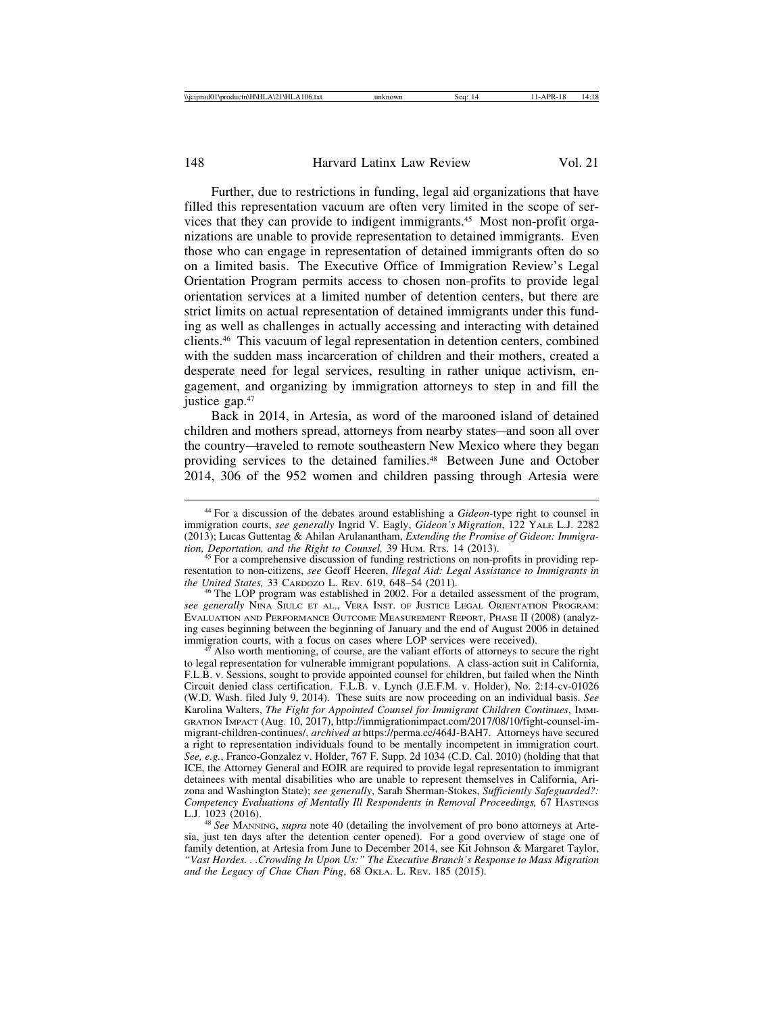Further, due to restrictions in funding, legal aid organizations that have filled this representation vacuum are often very limited in the scope of services that they can provide to indigent immigrants.45 Most non-profit organizations are unable to provide representation to detained immigrants. Even those who can engage in representation of detained immigrants often do so on a limited basis. The Executive Office of Immigration Review's Legal Orientation Program permits access to chosen non-profits to provide legal orientation services at a limited number of detention centers, but there are strict limits on actual representation of detained immigrants under this funding as well as challenges in actually accessing and interacting with detained clients.46 This vacuum of legal representation in detention centers, combined with the sudden mass incarceration of children and their mothers, created a desperate need for legal services, resulting in rather unique activism, engagement, and organizing by immigration attorneys to step in and fill the justice gap.<sup>47</sup>

Back in 2014, in Artesia, as word of the marooned island of detained children and mothers spread, attorneys from nearby states—and soon all over the country—traveled to remote southeastern New Mexico where they began providing services to the detained families.<sup>48</sup> Between June and October 2014, 306 of the 952 women and children passing through Artesia were

*see generally* NINA SIULC ET AL., VERA INST. OF JUSTICE LEGAL ORIENTATION PROGRAM: EVALUATION AND PERFORMANCE OUTCOME MEASUREMENT REPORT, PHASE II (2008) (analyzing cases beginning between the beginning of January and the end of August 2006 in detained immigration courts, with a focus on cases where LOP services were received).

Also worth mentioning, of course, are the valiant efforts of attorneys to secure the right to legal representation for vulnerable immigrant populations. A class-action suit in California, F.L.B. v. Sessions, sought to provide appointed counsel for children, but failed when the Ninth Circuit denied class certification. F.L.B. v. Lynch (J.E.F.M. v. Holder), No. 2:14-cv-01026 (W.D. Wash. filed July 9, 2014). These suits are now proceeding on an individual basis. *See* Karolina Walters, *The Fight for Appointed Counsel for Immigrant Children Continues*, IMMI-GRATION IMPACT (Aug. 10, 2017), http://immigrationimpact.com/2017/08/10/fight-counsel-immigrant-children-continues/, *archived at* https://perma.cc/464J-BAH7. Attorneys have secured a right to representation individuals found to be mentally incompetent in immigration court. *See, e.g.*, Franco-Gonzalez v. Holder, 767 F. Supp. 2d 1034 (C.D. Cal. 2010) (holding that that ICE, the Attorney General and EOIR are required to provide legal representation to immigrant detainees with mental disabilities who are unable to represent themselves in California, Arizona and Washington State); *see generally*, Sarah Sherman-Stokes, *Sufficiently Safeguarded?: Competency Evaluations of Mentally Ill Respondents in Removal Proceedings,* 67 HASTINGS<br>L.J. 1023 (2016).

<sup>48</sup> *See* MANNING, *supra* note 40 (detailing the involvement of pro bono attorneys at Artesia, just ten days after the detention center opened). For a good overview of stage one of family detention, at Artesia from June to December 2014, see Kit Johnson & Margaret Taylor, *"Vast Hordes. . .Crowding In Upon Us:" The Executive Branch's Response to Mass Migration and the Legacy of Chae Chan Ping*, 68 OKLA. L. REV. 185 (2015).

<sup>44</sup> For a discussion of the debates around establishing a *Gideon-*type right to counsel in immigration courts, *see generally* Ingrid V. Eagly, *Gideon's Migration*, 122 YALE L.J. 2282 (2013); Lucas Guttentag & Ahilan Arulanantham, *Extending the Promise of Gideon: Immigration, Deportation, and the Right to Counsel,* 39 HUM. RTs. 14 (2013).<br><sup>45</sup> For a comprehensive discussion of funding restrictions on non-profits in providing rep-

resentation to non-citizens, *see* Geoff Heeren, *Illegal Aid: Legal Assistance to Immigrants in the United States,* 33 CARDOZO L. REV. 619, 648–54 (2011).<br><sup>46</sup> The LOP program was established in 2002. For a detailed assessment of the program,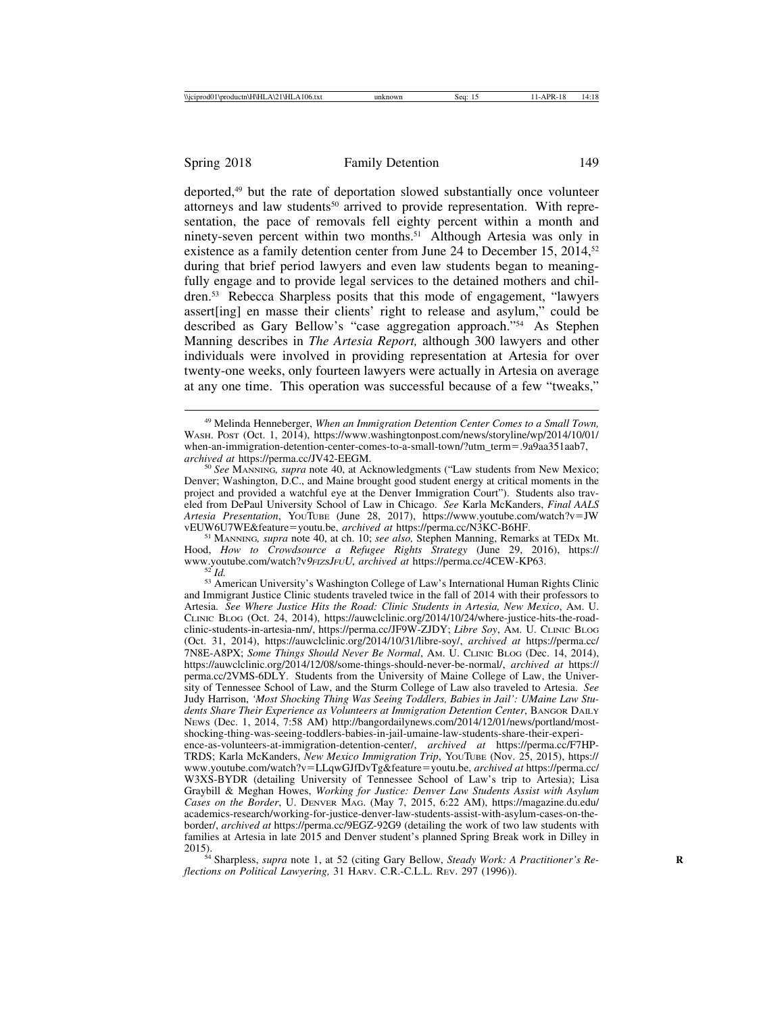deported,49 but the rate of deportation slowed substantially once volunteer attorneys and law students<sup>50</sup> arrived to provide representation. With representation, the pace of removals fell eighty percent within a month and ninety-seven percent within two months.<sup>51</sup> Although Artesia was only in existence as a family detention center from June 24 to December 15, 2014,<sup>52</sup> during that brief period lawyers and even law students began to meaningfully engage and to provide legal services to the detained mothers and children.53 Rebecca Sharpless posits that this mode of engagement, "lawyers assert[ing] en masse their clients' right to release and asylum," could be described as Gary Bellow's "case aggregation approach."54 As Stephen Manning describes in *The Artesia Report,* although 300 lawyers and other individuals were involved in providing representation at Artesia for over twenty-one weeks, only fourteen lawyers were actually in Artesia on average at any one time. This operation was successful because of a few "tweaks,"

<sup>51</sup> MANNING, *supra* note 40, at ch. 10; *see also*, Stephen Manning, Remarks at TEDx Mt. Hood, *How to Crowdsource a Refugee Rights Strategy* (June 29, 2016), https://

<sup>52'</sup>Id.<br><sup>53</sup> American University's Washington College of Law's International Human Rights Clinic and Immigrant Justice Clinic students traveled twice in the fall of 2014 with their professors to Artesia. *See Where Justice Hits the Road: Clinic Students in Artesia, New Mexico*, AM. U. CLINIC BLOG (Oct. 24, 2014), https://auwclclinic.org/2014/10/24/where-justice-hits-the-roadclinic-students-in-artesia-nm/, https://perma.cc/JF9W-ZJDY; *Libre Soy*, AM. U. CLINIC BLOG (Oct. 31, 2014), https://auwclclinic.org/2014/10/31/libre-soy/, *archived at* https://perma.cc/ 7N8E-A8PX; *Some Things Should Never Be Normal*, AM. U. CLINIC BLOG (Dec. 14, 2014), https://auwclclinic.org/2014/12/08/some-things-should-never-be-normal/, *archived at* https:// perma.cc/2VMS-6DLY. Students from the University of Maine College of Law, the University of Tennessee School of Law, and the Sturm College of Law also traveled to Artesia. *See* Judy Harrison, *'Most Shocking Thing Was Seeing Toddlers, Babies in Jail': UMaine Law Students Share Their Experience as Volunteers at Immigration Detention Center*, BANGOR DAILY NEWS (Dec. 1, 2014, 7:58 AM) http://bangordailynews.com/2014/12/01/news/portland/mostshocking-thing-was-seeing-toddlers-babies-in-jail-umaine-law-students-share-their-experience-as-volunteers-at-immigration-detention-center/, *archived at* https://perma.cc/F7HP-

TRDS; Karla McKanders, *New Mexico Immigration Trip*, YOUTUBE (Nov. 25, 2015), https:// www.youtube.com/watch?v=LLqwGJfDvTg&feature=youtu.be, *archived at* https://perma.cc/ W3XS-BYDR (detailing University of Tennessee School of Law's trip to Artesia); Lisa Graybill & Meghan Howes, *Working for Justice: Denver Law Students Assist with Asylum Cases on the Border*, U. DENVER MAG. (May 7, 2015, 6:22 AM), https://magazine.du.edu/ academics-research/working-for-justice-denver-law-students-assist-with-asylum-cases-on-theborder/, *archived at* https://perma.cc/9EGZ-92G9 (detailing the work of two law students with families at Artesia in late 2015 and Denver student's planned Spring Break work in Dilley in

<sup>54</sup> Sharpless, *supra* note 1, at 52 (citing Gary Bellow, *Steady Work: A Practitioner's Reflections on Political Lawyering,* 31 HARV. C.R.-C.L.L. REV. 297 (1996)).

<sup>49</sup> Melinda Henneberger, *When an Immigration Detention Center Comes to a Small Town,* WASH. POST (Oct. 1, 2014), https://www.washingtonpost.com/news/storyline/wp/2014/10/01/ when-an-immigration-detention-center-comes-to-a-small-town/?utm\_term=.9a9aa351aab7, archived at https://perma.cc/JV42-EEGM.

<sup>&</sup>lt;sup>50</sup> See MANNING, supra note 40, at Acknowledgments ("Law students from New Mexico; Denver; Washington, D.C., and Maine brought good student energy at critical moments in the project and provided a watchful eye at the Denver Immigration Court"). Students also traveled from DePaul University School of Law in Chicago. *See* Karla McKanders, *Final AALS Artesia Presentation*, YOUTUBE (June 28, 2017), https://www.youtube.com/watch?v=JW<br>vEUW6U7WE&feature=youtu.be, *archived at* https://perma.cc/N3KC-B6HF.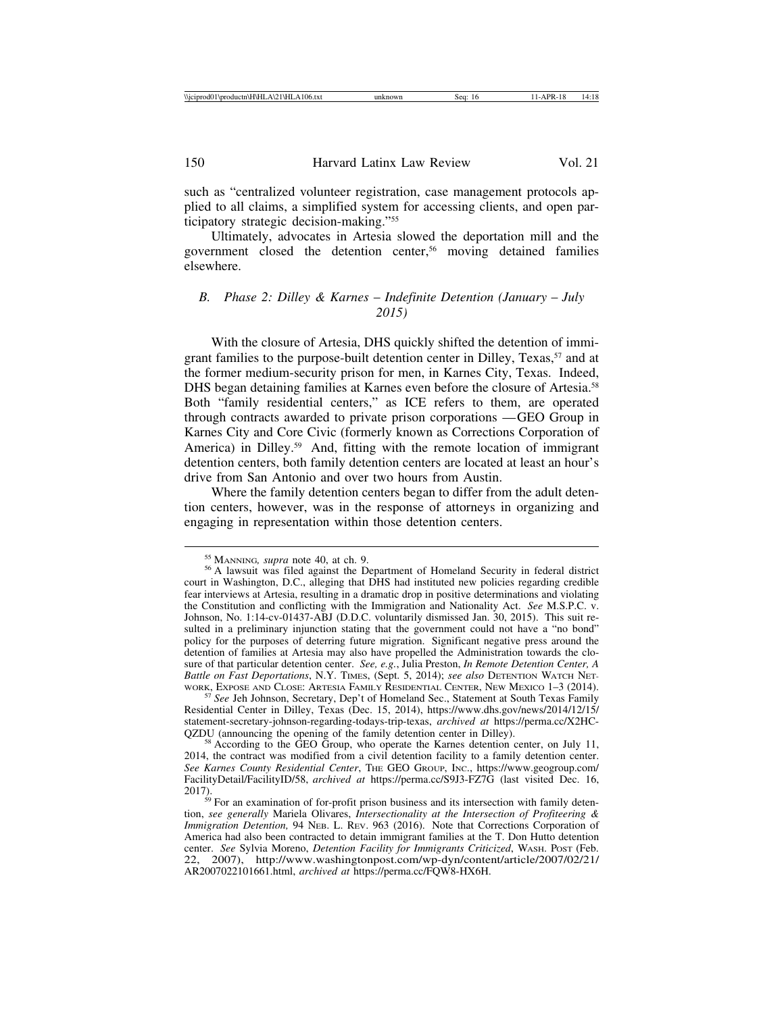such as "centralized volunteer registration, case management protocols applied to all claims, a simplified system for accessing clients, and open participatory strategic decision-making."55

Ultimately, advocates in Artesia slowed the deportation mill and the government closed the detention center,56 moving detained families elsewhere.

## *B. Phase 2: Dilley & Karnes* – *Indefinite Detention (January* – *July 2015)*

With the closure of Artesia, DHS quickly shifted the detention of immigrant families to the purpose-built detention center in Dilley, Texas,<sup>57</sup> and at the former medium-security prison for men, in Karnes City, Texas. Indeed, DHS began detaining families at Karnes even before the closure of Artesia.<sup>58</sup> Both "family residential centers," as ICE refers to them, are operated through contracts awarded to private prison corporations — GEO Group in Karnes City and Core Civic (formerly known as Corrections Corporation of America) in Dilley.<sup>59</sup> And, fitting with the remote location of immigrant detention centers, both family detention centers are located at least an hour's drive from San Antonio and over two hours from Austin.

Where the family detention centers began to differ from the adult detention centers, however, was in the response of attorneys in organizing and engaging in representation within those detention centers.

57 See Jeh Johnson, Secretary, Dep't of Homeland Sec., Statement at South Texas Family Residential Center in Dilley, Texas (Dec. 15, 2014), https://www.dhs.gov/news/2014/12/15/ statement-secretary-johnson-regarding-todays-trip-texas, *archived at* https://perma.cc/X2HC-

 $58$  According to the GEO Group, who operate the Karnes detention center, on July 11, 2014, the contract was modified from a civil detention facility to a family detention center. *See Karnes County Residential Center*, THE GEO GROUP, INC., https://www.geogroup.com/ FacilityDetail/FacilityID/58, *archived at* https://perma.cc/S9J3-FZ7G (last visited Dec. 16, 2017).<br><sup>59</sup> For an examination of for-profit prison business and its intersection with family deten-

<sup>&</sup>lt;sup>55</sup> MANNING, *supra* note 40, at ch. 9.<br><sup>56</sup> A lawsuit was filed against the Department of Homeland Security in federal district court in Washington, D.C., alleging that DHS had instituted new policies regarding credible fear interviews at Artesia, resulting in a dramatic drop in positive determinations and violating the Constitution and conflicting with the Immigration and Nationality Act. *See* M.S.P.C. v. Johnson, No. 1:14-cv-01437-ABJ (D.D.C. voluntarily dismissed Jan. 30, 2015). This suit resulted in a preliminary injunction stating that the government could not have a "no bond" policy for the purposes of deterring future migration. Significant negative press around the detention of families at Artesia may also have propelled the Administration towards the closure of that particular detention center. *See, e.g.*, Julia Preston, *In Remote Detention Center, A Battle on Fast Deportations*, N.Y. TIMES, (Sept. 5, 2014); *see also* DETENTION WATCH NET-WORK, EXPOSE AND CLOSE: ARTESIA FAMILY RESIDENTIAL CENTER, NEW MEXICO 1-3 (2014).

tion, *see generally* Mariela Olivares, *Intersectionality at the Intersection of Profiteering & Immigration Detention,* 94 NEB. L. REV. 963 (2016). Note that Corrections Corporation of America had also been contracted to detain immigrant families at the T. Don Hutto detention center. *See* Sylvia Moreno, *Detention Facility for Immigrants Criticized*, WASH. POST (Feb. 22, 2007), http://www.washingtonpost.com/wp-dyn/content/article/2007/02/21/ AR2007022101661.html, *archived at* https://perma.cc/FQW8-HX6H.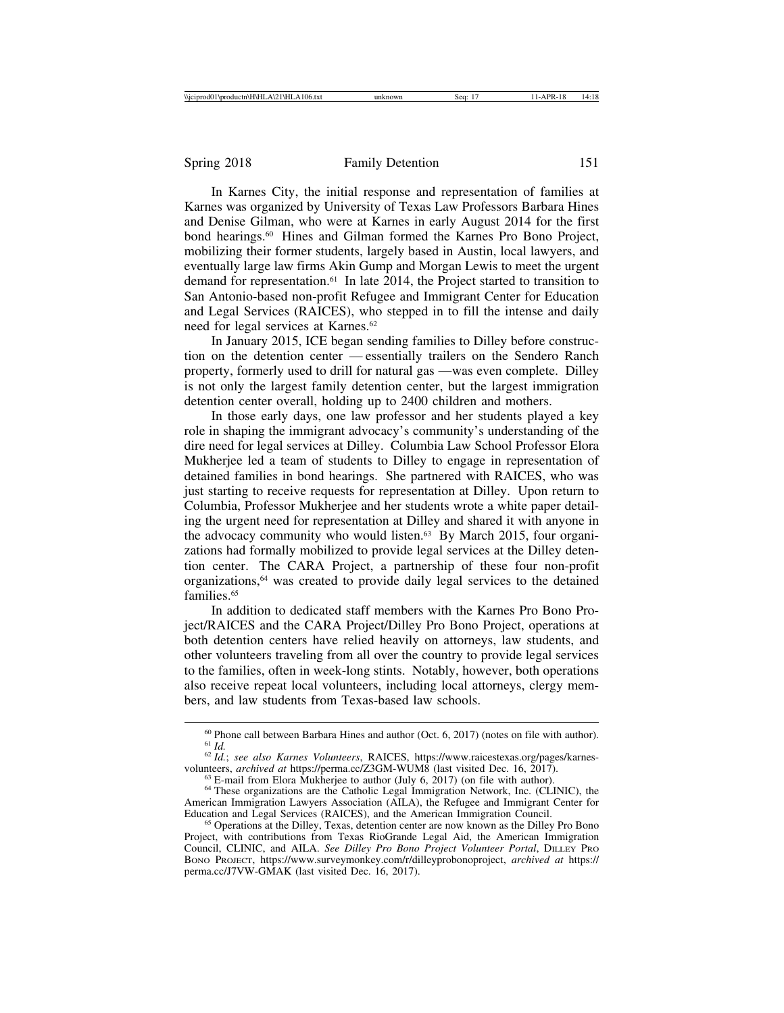In Karnes City, the initial response and representation of families at Karnes was organized by University of Texas Law Professors Barbara Hines and Denise Gilman, who were at Karnes in early August 2014 for the first bond hearings.<sup>60</sup> Hines and Gilman formed the Karnes Pro Bono Project, mobilizing their former students, largely based in Austin, local lawyers, and eventually large law firms Akin Gump and Morgan Lewis to meet the urgent demand for representation.61 In late 2014, the Project started to transition to San Antonio-based non-profit Refugee and Immigrant Center for Education and Legal Services (RAICES), who stepped in to fill the intense and daily need for legal services at Karnes.62

In January 2015, ICE began sending families to Dilley before construction on the detention center — essentially trailers on the Sendero Ranch property, formerly used to drill for natural gas — was even complete. Dilley is not only the largest family detention center, but the largest immigration detention center overall, holding up to 2400 children and mothers.

In those early days, one law professor and her students played a key role in shaping the immigrant advocacy's community's understanding of the dire need for legal services at Dilley. Columbia Law School Professor Elora Mukherjee led a team of students to Dilley to engage in representation of detained families in bond hearings. She partnered with RAICES, who was just starting to receive requests for representation at Dilley. Upon return to Columbia, Professor Mukherjee and her students wrote a white paper detailing the urgent need for representation at Dilley and shared it with anyone in the advocacy community who would listen.<sup>63</sup> By March 2015, four organizations had formally mobilized to provide legal services at the Dilley detention center. The CARA Project, a partnership of these four non-profit organizations,64 was created to provide daily legal services to the detained families<sup>65</sup>

In addition to dedicated staff members with the Karnes Pro Bono Project/RAICES and the CARA Project/Dilley Pro Bono Project, operations at both detention centers have relied heavily on attorneys, law students, and other volunteers traveling from all over the country to provide legal services to the families, often in week-long stints. Notably, however, both operations also receive repeat local volunteers, including local attorneys, clergy members, and law students from Texas-based law schools.

<sup>&</sup>lt;sup>60</sup> Phone call between Barbara Hines and author (Oct. 6, 2017) (notes on file with author).<br><sup>61</sup> *Id.* <sup>62</sup> *Id.*; *see also Karnes Volunteers*, RAICES, https://www.raicestexas.org/pages/karnes-<br>volunteers, *archived at* 

<sup>&</sup>lt;sup>63</sup> E-mail from Elora Mukherjee to author (July 6, 2017) (on file with author).<br><sup>64</sup> These organizations are the Catholic Legal Immigration Network, Inc. (CLINIC), the

American Immigration Lawyers Association (AILA), the Refugee and Immigrant Center for Education and Legal Services (RAICES), and the American Immigration Council.

<sup>&</sup>lt;sup>65</sup> Operations at the Dilley, Texas, detention center are now known as the Dilley Pro Bono Project, with contributions from Texas RioGrande Legal Aid, the American Immigration Council, CLINIC, and AILA. *See Dilley Pro Bono Project Volunteer Portal*, DILLEY PRO BONO PROJECT, https://www.surveymonkey.com/r/dilleyprobonoproject, *archived at* https:// perma.cc/J7VW-GMAK (last visited Dec. 16, 2017).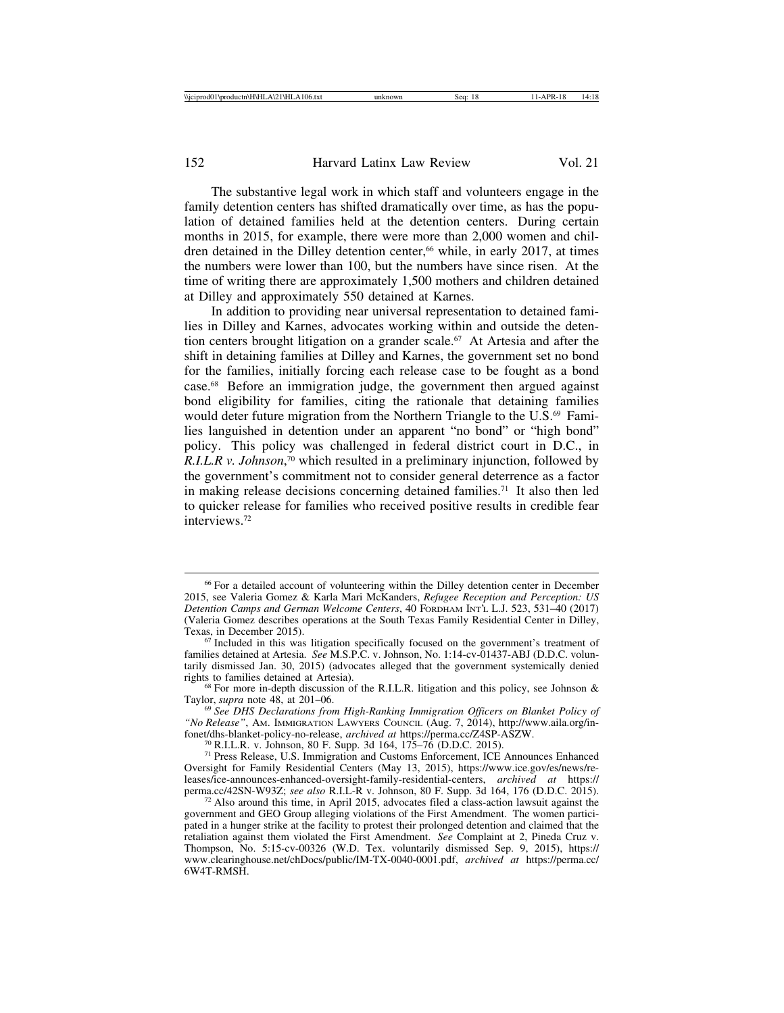The substantive legal work in which staff and volunteers engage in the family detention centers has shifted dramatically over time, as has the population of detained families held at the detention centers. During certain months in 2015, for example, there were more than 2,000 women and children detained in the Dilley detention center,<sup>66</sup> while, in early 2017, at times the numbers were lower than 100, but the numbers have since risen. At the time of writing there are approximately 1,500 mothers and children detained at Dilley and approximately 550 detained at Karnes.

In addition to providing near universal representation to detained families in Dilley and Karnes, advocates working within and outside the detention centers brought litigation on a grander scale.67 At Artesia and after the shift in detaining families at Dilley and Karnes, the government set no bond for the families, initially forcing each release case to be fought as a bond case.68 Before an immigration judge, the government then argued against bond eligibility for families, citing the rationale that detaining families would deter future migration from the Northern Triangle to the U.S.<sup>69</sup> Families languished in detention under an apparent "no bond" or "high bond" policy. This policy was challenged in federal district court in D.C., in *R.I.L.R v. Johnson*, 70 which resulted in a preliminary injunction, followed by the government's commitment not to consider general deterrence as a factor in making release decisions concerning detained families.<sup>71</sup> It also then led to quicker release for families who received positive results in credible fear interviews<sup>72</sup>

<sup>66</sup> For a detailed account of volunteering within the Dilley detention center in December 2015, see Valeria Gomez & Karla Mari McKanders, *Refugee Reception and Perception: US Detention Camps and German Welcome Centers*, 40 FORDHAM INT'L L.J. 523, 531–40 (2017) (Valeria Gomez describes operations at the South Texas Family Residential Center in Dilley,

 $67$  Included in this was litigation specifically focused on the government's treatment of families detained at Artesia. *See* M.S.P.C. v. Johnson, No. 1:14-cv-01437-ABJ (D.D.C. voluntarily dismissed Jan. 30, 2015) (advocates alleged that the government systemically denied

<sup>&</sup>lt;sup>68</sup> For more in-depth discussion of the R.I.L.R. litigation and this policy, see Johnson & Taylor, *supra* note 48, at 201–06.

<sup>&</sup>lt;sup>69</sup> See DHS Declarations from High-Ranking Immigration Officers on Blanket Policy of *"No Release"*, AM. IMMIGRATION LAWYERS COUNCIL (Aug. 7, 2014), http://www.aila.org/in-<br>fonet/dhs-blanket-policy-no-release, *archived at https://perma.cc/ZASP-ASZW*.

<sup>&</sup>lt;sup>70</sup> R.I.L.R. v. Johnson, 80 F. Supp. 3d 164, 175–76 (D.D.C. 2015).<br><sup>71</sup> Press Release, U.S. Immigration and Customs Enforcement, ICE Announces Enhanced Oversight for Family Residential Centers (May 13, 2015), https://www.ice.gov/es/news/releases/ice-announces-enhanced-oversight-family-residential-centers, *archived at* https://

 $72$  Also around this time, in April 2015, advocates filed a class-action lawsuit against the government and GEO Group alleging violations of the First Amendment. The women participated in a hunger strike at the facility to protest their prolonged detention and claimed that the retaliation against them violated the First Amendment. *See* Complaint at 2, Pineda Cruz v. Thompson, No. 5:15-cv-00326 (W.D. Tex. voluntarily dismissed Sep. 9, 2015), https:// www.clearinghouse.net/chDocs/public/IM-TX-0040-0001.pdf, *archived at* https://perma.cc/ 6W4T-RMSH.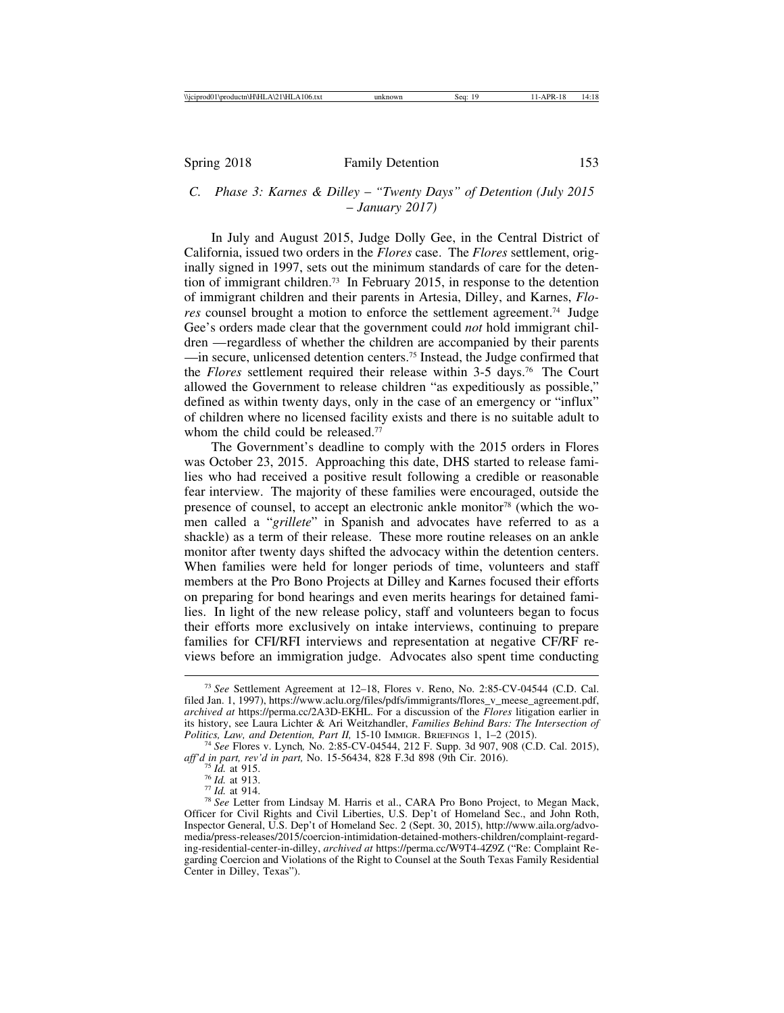## *C. Phase 3: Karnes & Dilley* – *"Twenty Days" of Detention (July 2015* – *January 2017)*

In July and August 2015, Judge Dolly Gee, in the Central District of California, issued two orders in the *Flores* case. The *Flores* settlement, originally signed in 1997, sets out the minimum standards of care for the detention of immigrant children.73 In February 2015, in response to the detention of immigrant children and their parents in Artesia, Dilley, and Karnes, *Flores* counsel brought a motion to enforce the settlement agreement.74 Judge Gee's orders made clear that the government could *not* hold immigrant children — regardless of whether the children are accompanied by their parents — in secure, unlicensed detention centers.75 Instead, the Judge confirmed that the *Flores* settlement required their release within 3-5 days.76 The Court allowed the Government to release children "as expeditiously as possible," defined as within twenty days, only in the case of an emergency or "influx" of children where no licensed facility exists and there is no suitable adult to whom the child could be released.<sup>77</sup>

The Government's deadline to comply with the 2015 orders in Flores was October 23, 2015. Approaching this date, DHS started to release families who had received a positive result following a credible or reasonable fear interview. The majority of these families were encouraged, outside the presence of counsel, to accept an electronic ankle monitor<sup>78</sup> (which the women called a "*grillete*" in Spanish and advocates have referred to as a shackle) as a term of their release. These more routine releases on an ankle monitor after twenty days shifted the advocacy within the detention centers. When families were held for longer periods of time, volunteers and staff members at the Pro Bono Projects at Dilley and Karnes focused their efforts on preparing for bond hearings and even merits hearings for detained families. In light of the new release policy, staff and volunteers began to focus their efforts more exclusively on intake interviews, continuing to prepare families for CFI/RFI interviews and representation at negative CF/RF reviews before an immigration judge. Advocates also spent time conducting

<sup>73</sup> *See* Settlement Agreement at 12–18, Flores v. Reno, No. 2:85-CV-04544 (C.D. Cal. filed Jan. 1, 1997), https://www.aclu.org/files/pdfs/immigrants/flores\_v\_meese\_agreement.pdf, *archived at* https://perma.cc/2A3D-EKHL. For a discussion of the *Flores* litigation earlier in its history, see Laura Lichter & Ari Weitzhandler, *Families Behind Bars: The Intersection of*

<sup>&</sup>lt;sup>74</sup> See Flores v. Lynch, No. 2:85-CV-04544, 212 F. Supp. 3d 907, 908 (C.D. Cal. 2015), *aff'd in part, rev'd in part*, No. 15-56434, 828 F.3d 898 (9th Cir. 2016).

<sup>&</sup>lt;sup>75</sup> Id. at 915.<br><sup>76</sup> Id. at 913.<br><sup>77</sup> Id. at 914.<br><sup>78</sup> See Letter from Lindsay M. Harris et al., CARA Pro Bono Project, to Megan Mack, Officer for Civil Rights and Civil Liberties, U.S. Dep't of Homeland Sec., and John Roth, Inspector General, U.S. Dep't of Homeland Sec. 2 (Sept. 30, 2015), http://www.aila.org/advomedia/press-releases/2015/coercion-intimidation-detained-mothers-children/complaint-regarding-residential-center-in-dilley, *archived at* https://perma.cc/W9T4-4Z9Z ("Re: Complaint Regarding Coercion and Violations of the Right to Counsel at the South Texas Family Residential Center in Dilley, Texas").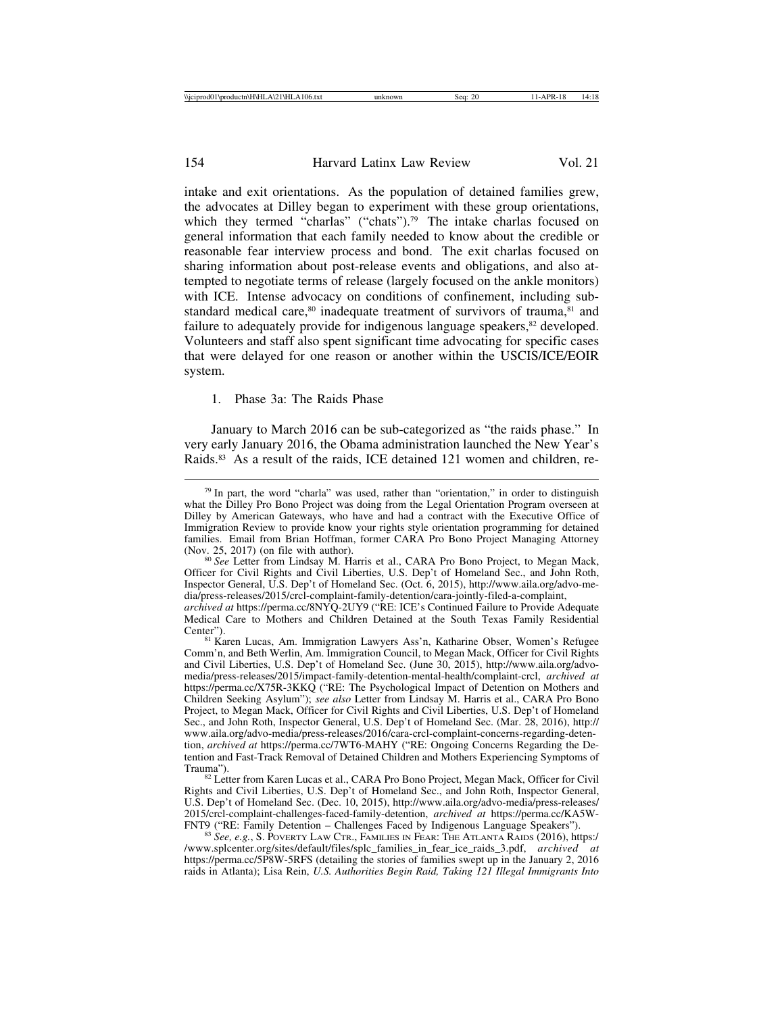intake and exit orientations. As the population of detained families grew, the advocates at Dilley began to experiment with these group orientations, which they termed "charlas" ("chats").<sup>79</sup> The intake charlas focused on general information that each family needed to know about the credible or reasonable fear interview process and bond. The exit charlas focused on sharing information about post-release events and obligations, and also attempted to negotiate terms of release (largely focused on the ankle monitors) with ICE. Intense advocacy on conditions of confinement, including substandard medical care, $80$  inadequate treatment of survivors of trauma, $81$  and failure to adequately provide for indigenous language speakers,<sup>82</sup> developed. Volunteers and staff also spent significant time advocating for specific cases that were delayed for one reason or another within the USCIS/ICE/EOIR system.

#### 1. Phase 3a: The Raids Phase

January to March 2016 can be sub-categorized as "the raids phase." In very early January 2016, the Obama administration launched the New Year's Raids.83 As a result of the raids, ICE detained 121 women and children, re-

Officer for Civil Rights and Civil Liberties, U.S. Dep't of Homeland Sec., and John Roth, Inspector General, U.S. Dep't of Homeland Sec. (Oct. 6, 2015), http://www.aila.org/advo-media/press-releases/2015/crcl-complaint-family-detention/cara-jointly-filed-a-complaint,

81 Karen Lucas, Am. Immigration Lawyers Ass'n, Katharine Obser, Women's Refugee Comm'n, and Beth Werlin, Am. Immigration Council, to Megan Mack, Officer for Civil Rights and Civil Liberties, U.S. Dep't of Homeland Sec. (June 30, 2015), http://www.aila.org/advomedia/press-releases/2015/impact-family-detention-mental-health/complaint-crcl, *archived at* https://perma.cc/X75R-3KKQ ("RE: The Psychological Impact of Detention on Mothers and Children Seeking Asylum"); *see also* Letter from Lindsay M. Harris et al., CARA Pro Bono Project, to Megan Mack, Officer for Civil Rights and Civil Liberties, U.S. Dep't of Homeland Sec., and John Roth, Inspector General, U.S. Dep't of Homeland Sec. (Mar. 28, 2016), http:// www.aila.org/advo-media/press-releases/2016/cara-crcl-complaint-concerns-regarding-detention, *archived at* https://perma.cc/7WT6-MAHY ("RE: Ongoing Concerns Regarding the Detention and Fast-Track Removal of Detained Children and Mothers Experiencing Symptoms of Trauma").<br><sup>82</sup> Letter from Karen Lucas et al., CARA Pro Bono Project, Megan Mack, Officer for Civil

Rights and Civil Liberties, U.S. Dep't of Homeland Sec., and John Roth, Inspector General, U.S. Dep't of Homeland Sec. (Dec. 10, 2015), http://www.aila.org/advo-media/press-releases/ 2015/crcl-complaint-challenges-faced-family-detention, *archived at* https://perma.cc/KA5W-

<sup>83</sup> See, e.g., S. POVERTY LAW CTR., FAMILIES IN FEAR: THE ATLANTA RAIDS (2016), https:/ /www.splcenter.org/sites/default/files/splc\_families\_in\_fear\_ice\_raids\_3.pdf, *archived at* https://perma.cc/5P8W-5RFS (detailing the stories of families swept up in the January 2, 2016 raids in Atlanta); Lisa Rein, *U.S. Authorities Begin Raid, Taking 121 Illegal Immigrants Into*

 $79$  In part, the word "charla" was used, rather than "orientation," in order to distinguish what the Dilley Pro Bono Project was doing from the Legal Orientation Program overseen at Dilley by American Gateways, who have and had a contract with the Executive Office of Immigration Review to provide know your rights style orientation programming for detained families. Email from Brian Hoffman, former CARA Pro Bono Project Managing Attorney (Nov. 25, 2017) (on file with author).<br><sup>80</sup> *See* Letter from Lindsay M. Harris et al., CARA Pro Bono Project, to Megan Mack,

*archived at* https://perma.cc/8NYQ-2UY9 ("RE: ICE's Continued Failure to Provide Adequate Medical Care to Mothers and Children Detained at the South Texas Family Residential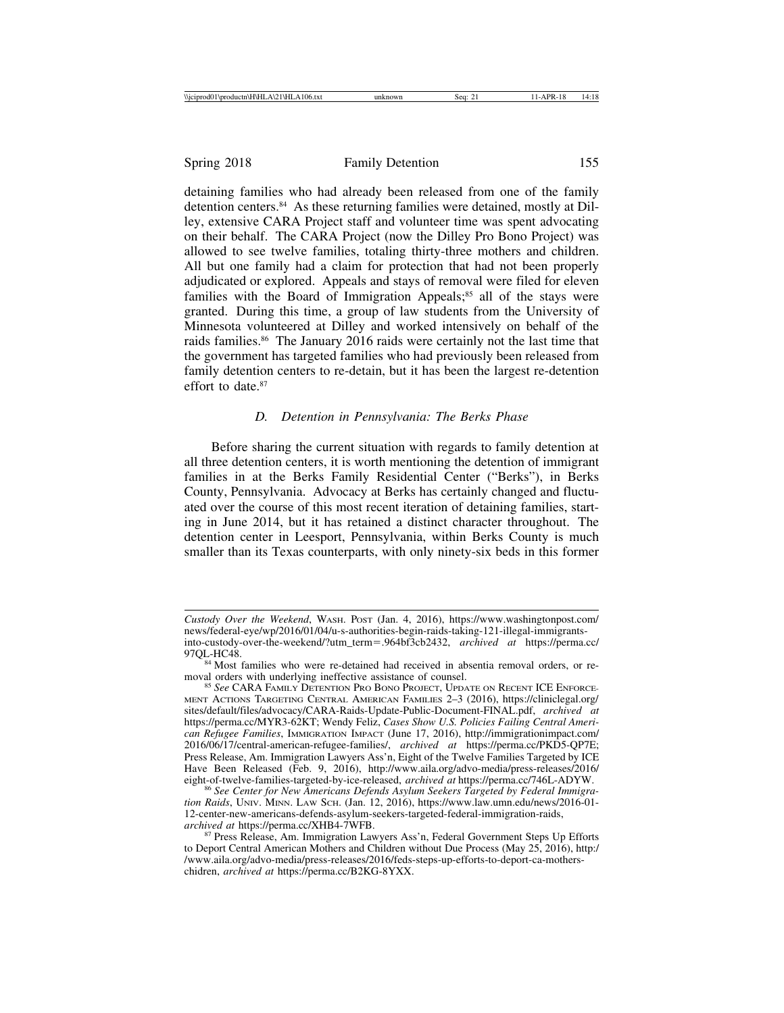detaining families who had already been released from one of the family detention centers.84 As these returning families were detained, mostly at Dilley, extensive CARA Project staff and volunteer time was spent advocating on their behalf. The CARA Project (now the Dilley Pro Bono Project) was allowed to see twelve families, totaling thirty-three mothers and children. All but one family had a claim for protection that had not been properly adjudicated or explored. Appeals and stays of removal were filed for eleven families with the Board of Immigration Appeals; $85$  all of the stays were granted. During this time, a group of law students from the University of Minnesota volunteered at Dilley and worked intensively on behalf of the raids families.86 The January 2016 raids were certainly not the last time that the government has targeted families who had previously been released from family detention centers to re-detain, but it has been the largest re-detention effort to date.<sup>87</sup>

### *D. Detention in Pennsylvania: The Berks Phase*

Before sharing the current situation with regards to family detention at all three detention centers, it is worth mentioning the detention of immigrant families in at the Berks Family Residential Center ("Berks"), in Berks County, Pennsylvania. Advocacy at Berks has certainly changed and fluctuated over the course of this most recent iteration of detaining families, starting in June 2014, but it has retained a distinct character throughout. The detention center in Leesport, Pennsylvania, within Berks County is much smaller than its Texas counterparts, with only ninety-six beds in this former

*Custody Over the Weekend*, WASH. POST (Jan. 4, 2016), https://www.washingtonpost.com/ news/federal-eye/wp/2016/01/04/u-s-authorities-begin-raids-taking-121-illegal-immigrantsinto-custody-over-the-weekend/?utm\_term=.964bf3cb2432, *archived at* https://perma.cc/

<sup>&</sup>lt;sup>84</sup> Most families who were re-detained had received in absentia removal orders, or re-<br>moval orders with underlying ineffective assistance of counsel.

<sup>&</sup>lt;sup>85</sup> See CARA FAMILY DETENTION PRO BONO PROJECT, UPDATE ON RECENT ICE ENFORCE-MENT ACTIONS TARGETING CENTRAL AMERICAN FAMILIES 2–3 (2016), https://cliniclegal.org/ sites/default/files/advocacy/CARA-Raids-Update-Public-Document-FINAL.pdf, *archived at* https://perma.cc/MYR3-62KT; Wendy Feliz, *Cases Show U.S. Policies Failing Central American Refugee Families*, IMMIGRATION IMPACT (June 17, 2016), http://immigrationimpact.com/ 2016/06/17/central-american-refugee-families/, *archived at* https://perma.cc/PKD5-QP7E; Press Release, Am. Immigration Lawyers Ass'n, Eight of the Twelve Families Targeted by ICE Have Been Released (Feb. 9, 2016), http://www.aila.org/advo-media/press-releases/2016/ eight-of-twelve-families-targeted-by-ice-released, *archived at* https://perma.cc/746L-ADYW.

<sup>&</sup>lt;sup>86</sup> See Center for New Americans Defends Asylum Seekers Targeted by Federal Immigra*tion Raids*, UNIV. MINN. LAW SCH. (Jan. 12, 2016), https://www.law.umn.edu/news/2016-01- 12-center-new-americans-defends-asylum-seekers-targeted-federal-immigration-raids, archived at https://perma.cc/XHB4-7WFB.

<sup>&</sup>lt;sup>87</sup> Press Release, Am. Immigration Lawyers Ass'n, Federal Government Steps Up Efforts to Deport Central American Mothers and Children without Due Process (May 25, 2016), http:/ /www.aila.org/advo-media/press-releases/2016/feds-steps-up-efforts-to-deport-ca-motherschidren, *archived at* https://perma.cc/B2KG-8YXX.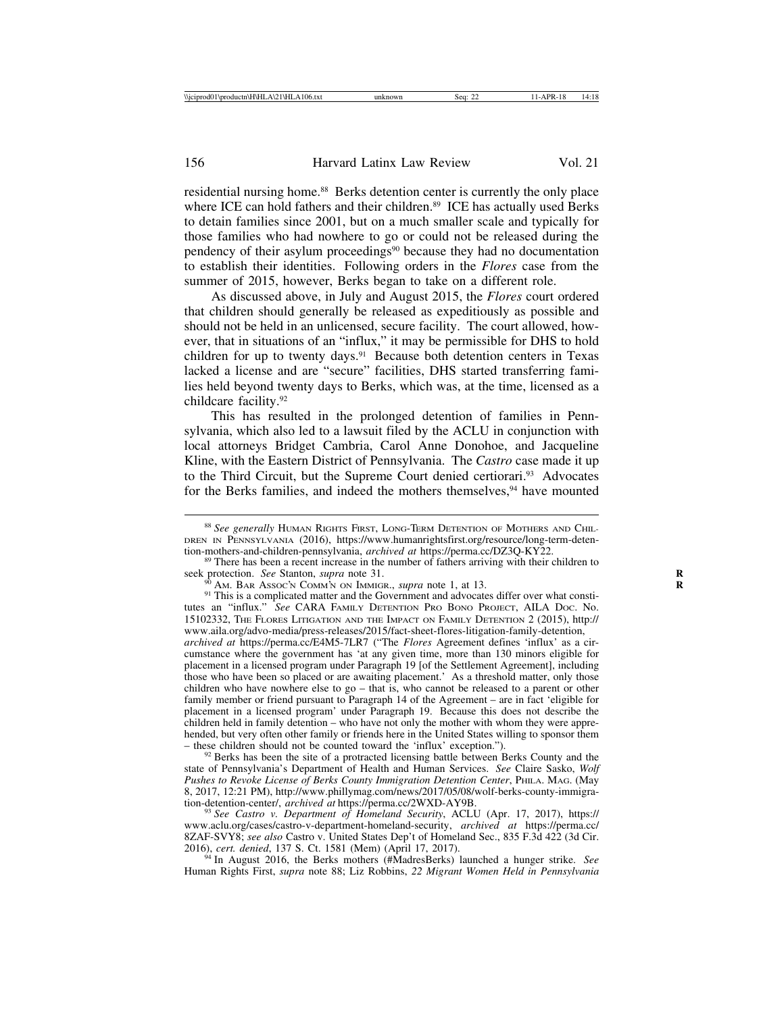residential nursing home.88 Berks detention center is currently the only place where ICE can hold fathers and their children.<sup>89</sup> ICE has actually used Berks to detain families since 2001, but on a much smaller scale and typically for those families who had nowhere to go or could not be released during the pendency of their asylum proceedings<sup>90</sup> because they had no documentation to establish their identities. Following orders in the *Flores* case from the summer of 2015, however, Berks began to take on a different role.

As discussed above, in July and August 2015, the *Flores* court ordered that children should generally be released as expeditiously as possible and should not be held in an unlicensed, secure facility. The court allowed, however, that in situations of an "influx," it may be permissible for DHS to hold children for up to twenty days.<sup>91</sup> Because both detention centers in Texas lacked a license and are "secure" facilities, DHS started transferring families held beyond twenty days to Berks, which was, at the time, licensed as a childcare facility.92

This has resulted in the prolonged detention of families in Pennsylvania, which also led to a lawsuit filed by the ACLU in conjunction with local attorneys Bridget Cambria, Carol Anne Donohoe, and Jacqueline Kline, with the Eastern District of Pennsylvania. The *Castro* case made it up to the Third Circuit, but the Supreme Court denied certiorari.<sup>93</sup> Advocates for the Berks families, and indeed the mothers themselves,<sup>94</sup> have mounted

<sup>90</sup> AM. BAR Assoc'n COMM'N ON IMMIGR., *supra* note 1, at 13.<br><sup>91</sup> This is a complicated matter and the Government and advocates differ over what constitutes an "influx." *See* CARA FAMILY DETENTION PRO BONO PROJECT, AILA DOC. No. 15102332, THE FLORES LITIGATION AND THE IMPACT ON FAMILY DETENTION 2 (2015), http:// www.aila.org/advo-media/press-releases/2015/fact-sheet-flores-litigation-family-detention,

*archived at* https://perma.cc/E4M5-7LR7 ("The *Flores* Agreement defines 'influx' as a circumstance where the government has 'at any given time, more than 130 minors eligible for placement in a licensed program under Paragraph 19 [of the Settlement Agreement], including those who have been so placed or are awaiting placement.' As a threshold matter, only those children who have nowhere else to go – that is, who cannot be released to a parent or other family member or friend pursuant to Paragraph 14 of the Agreement – are in fact 'eligible for placement in a licensed program' under Paragraph 19. Because this does not describe the children held in family detention – who have not only the mother with whom they were apprehended, but very often other family or friends here in the United States willing to sponsor them – these children should not be counted toward the 'influx' exception.").

 $92$  Berks has been the site of a protracted licensing battle between Berks County and the state of Pennsylvania's Department of Health and Human Services. *See* Claire Sasko, *Wolf Pushes to Revoke License of Berks County Immigration Detention Center*, PHILA. MAG. (May 8, 2017, 12:21 PM), http://www.phillymag.com/news/2017/05/08/wolf-berks-county-immigration-detention-center/, archived at https://perma.cc/2WXD-AY9B.

<sup>93</sup> See Castro v. Department of Homeland Security, ACLU (Apr. 17, 2017), https:// www.aclu.org/cases/castro-v-department-homeland-security, *archived at* https://perma.cc/ 8ZAF-SVY8; *see also* Castro v. United States Dep't of Homeland Sec., 835 F.3d 422 (3d Cir.

<sup>94</sup> In August 2016, the Berks mothers (#MadresBerks) launched a hunger strike. *See* Human Rights First, *supra* note 88; Liz Robbins, *22 Migrant Women Held in Pennsylvania*

<sup>88</sup> *See generally* HUMAN RIGHTS FIRST, LONG-TERM DETENTION OF MOTHERS AND CHIL-DREN IN PENNSYLVANIA (2016), https://www.humanrightsfirst.org/resource/long-term-detention-mothers-and-children-pennsylvania, *archived at* https://perma.cc/DZ3O-KY22.

<sup>&</sup>lt;sup>89</sup> There has been a recent increase in the number of fathers arriving with their children to seek protection. *See* Stanton, *supra* note 31.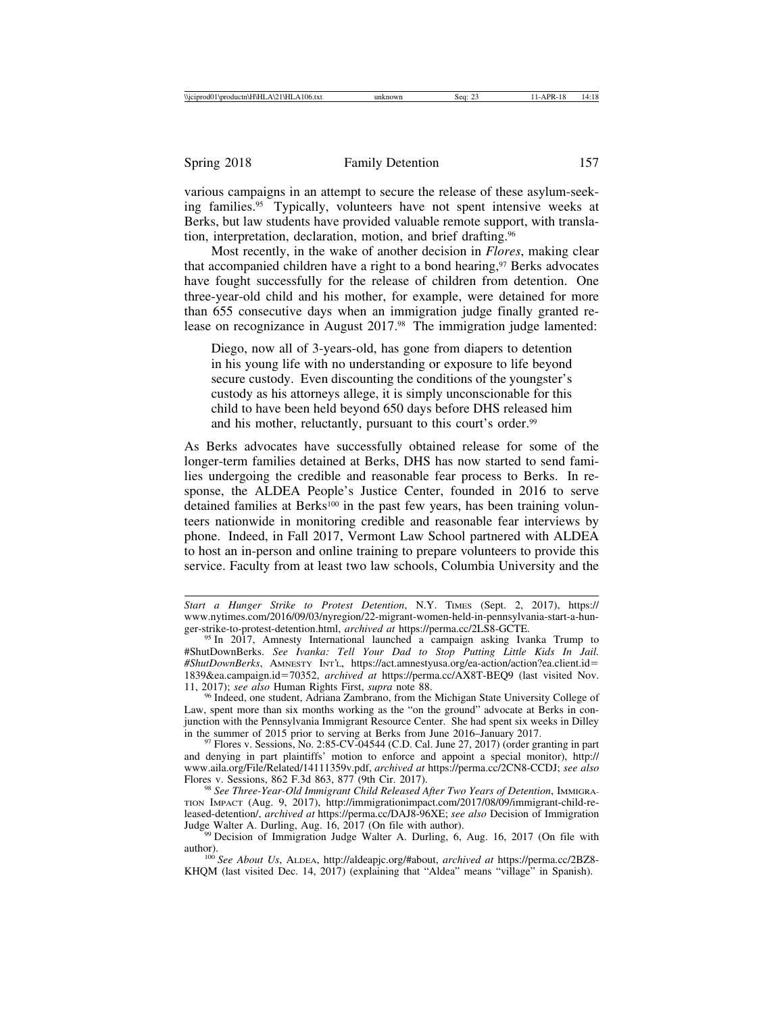various campaigns in an attempt to secure the release of these asylum-seeking families.95 Typically, volunteers have not spent intensive weeks at Berks, but law students have provided valuable remote support, with translation, interpretation, declaration, motion, and brief drafting.96

Most recently, in the wake of another decision in *Flores*, making clear that accompanied children have a right to a bond hearing,<sup>97</sup> Berks advocates have fought successfully for the release of children from detention. One three-year-old child and his mother, for example, were detained for more than 655 consecutive days when an immigration judge finally granted release on recognizance in August 2017.<sup>98</sup> The immigration judge lamented:

Diego, now all of 3-years-old, has gone from diapers to detention in his young life with no understanding or exposure to life beyond secure custody. Even discounting the conditions of the youngster's custody as his attorneys allege, it is simply unconscionable for this child to have been held beyond 650 days before DHS released him and his mother, reluctantly, pursuant to this court's order.<sup>99</sup>

As Berks advocates have successfully obtained release for some of the longer-term families detained at Berks, DHS has now started to send families undergoing the credible and reasonable fear process to Berks. In response, the ALDEA People's Justice Center, founded in 2016 to serve detained families at Berks<sup>100</sup> in the past few years, has been training volunteers nationwide in monitoring credible and reasonable fear interviews by phone. Indeed, in Fall 2017, Vermont Law School partnered with ALDEA to host an in-person and online training to prepare volunteers to provide this service. Faculty from at least two law schools, Columbia University and the

*Start a Hunger Strike to Protest Detention*, N.Y. TIMES (Sept. 2, 2017), https:// www.nytimes.com/2016/09/03/nyregion/22-migrant-women-held-in-pennsylvania-start-a-hun-<br>ger-strike-to-protest-detention.html, *archived at* https://perma.cc/2LS8-GCTE.

<sup>&</sup>lt;sup>95</sup> In 2017, Amnesty International launched a campaign asking Ivanka Trump to #ShutDownBerks. *See Ivanka: Tell Your Dad to Stop Putting Little Kids In Jail. #ShutDownBerks*, AMNESTY INT'L, https://act.amnestyusa.org/ea-action/action?ea.client.id= 1839&ea.campaign.id=70352, *archived at* https://perma.cc/AX8T-BEQ9 (last visited Nov.

<sup>&</sup>lt;sup>96</sup> Indeed, one student, Adriana Zambrano, from the Michigan State University College of Law, spent more than six months working as the "on the ground" advocate at Berks in conjunction with the Pennsylvania Immigrant Resource Center. She had spent six weeks in Dilley in the summer of 2015 prior to serving at Berks from June 2016–January 2017.

 $197$  Flores v. Sessions, No. 2:85-CV-04544 (C.D. Cal. June 27, 2017) (order granting in part and denying in part plaintiffs' motion to enforce and appoint a special monitor), http:// www.aila.org/File/Related/14111359v.pdf, *archived at* https://perma.cc/2CN8-CCDJ; *see also*

<sup>&</sup>lt;sup>98</sup> See Three-Year-Old Immigrant Child Released After Two Years of Detention, Immigra-TION IMPACT (Aug. 9, 2017), http://immigrationimpact.com/2017/08/09/immigrant-child-released-detention/, *archived at* https://perma.cc/DAJ8-96XE; *see also* Decision of Immigration

<sup>&</sup>lt;sup>99</sup> Decision of Immigration Judge Walter A. Durling, 6, Aug. 16, 2017 (On file with

author). <sup>100</sup> *See About Us*, ALDEA, http://aldeapjc.org/#about, *archived at* https://perma.cc/2BZ8- KHQM (last visited Dec. 14, 2017) (explaining that "Aldea" means "village" in Spanish).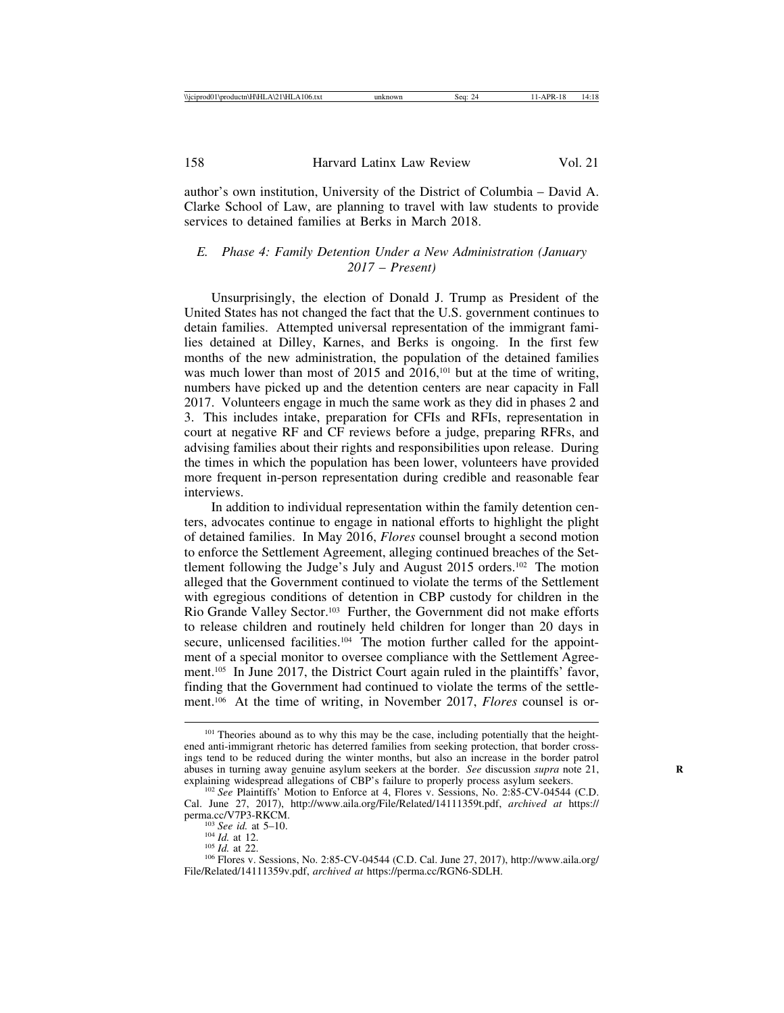author's own institution, University of the District of Columbia – David A. Clarke School of Law, are planning to travel with law students to provide services to detained families at Berks in March 2018.

## *E. Phase 4: Family Detention Under a New Administration (January 2017* – *Present)*

Unsurprisingly, the election of Donald J. Trump as President of the United States has not changed the fact that the U.S. government continues to detain families. Attempted universal representation of the immigrant families detained at Dilley, Karnes, and Berks is ongoing. In the first few months of the new administration, the population of the detained families was much lower than most of 2015 and 2016,<sup>101</sup> but at the time of writing, numbers have picked up and the detention centers are near capacity in Fall 2017. Volunteers engage in much the same work as they did in phases 2 and 3. This includes intake, preparation for CFIs and RFIs, representation in court at negative RF and CF reviews before a judge, preparing RFRs, and advising families about their rights and responsibilities upon release. During the times in which the population has been lower, volunteers have provided more frequent in-person representation during credible and reasonable fear interviews.

In addition to individual representation within the family detention centers, advocates continue to engage in national efforts to highlight the plight of detained families. In May 2016, *Flores* counsel brought a second motion to enforce the Settlement Agreement, alleging continued breaches of the Settlement following the Judge's July and August 2015 orders.102 The motion alleged that the Government continued to violate the terms of the Settlement with egregious conditions of detention in CBP custody for children in the Rio Grande Valley Sector.103 Further, the Government did not make efforts to release children and routinely held children for longer than 20 days in secure, unlicensed facilities.<sup>104</sup> The motion further called for the appointment of a special monitor to oversee compliance with the Settlement Agreement.105 In June 2017, the District Court again ruled in the plaintiffs' favor, finding that the Government had continued to violate the terms of the settlement.106 At the time of writing, in November 2017, *Flores* counsel is or-

<sup>&</sup>lt;sup>101</sup> Theories abound as to why this may be the case, including potentially that the heightened anti-immigrant rhetoric has deterred families from seeking protection, that border crossings tend to be reduced during the winter months, but also an increase in the border patrol abuses in turning away genuine asylum seekers at the border. *See* discussion *supra* note 21, explaining widespread allegations of CBP's failure to properly process asylum seekers.

<sup>&</sup>lt;sup>102</sup> See Plaintiffs' Motion to Enforce at 4, Flores v. Sessions, No. 2:85-CV-04544 (C.D. Cal. June 27, 2017), http://www.aila.org/File/Related/14111359t.pdf, *archived at* https://

<sup>&</sup>lt;sup>103</sup> *See id.* at 5–10.<br><sup>104</sup> *Id.* at 12.<br><sup>105</sup> *Id.* at 22. 106 Flores v. Sessions, No. 2:85-CV-04544 (C.D. Cal. June 27, 2017), http://www.aila.org/ File/Related/14111359v.pdf, *archived at* https://perma.cc/RGN6-SDLH.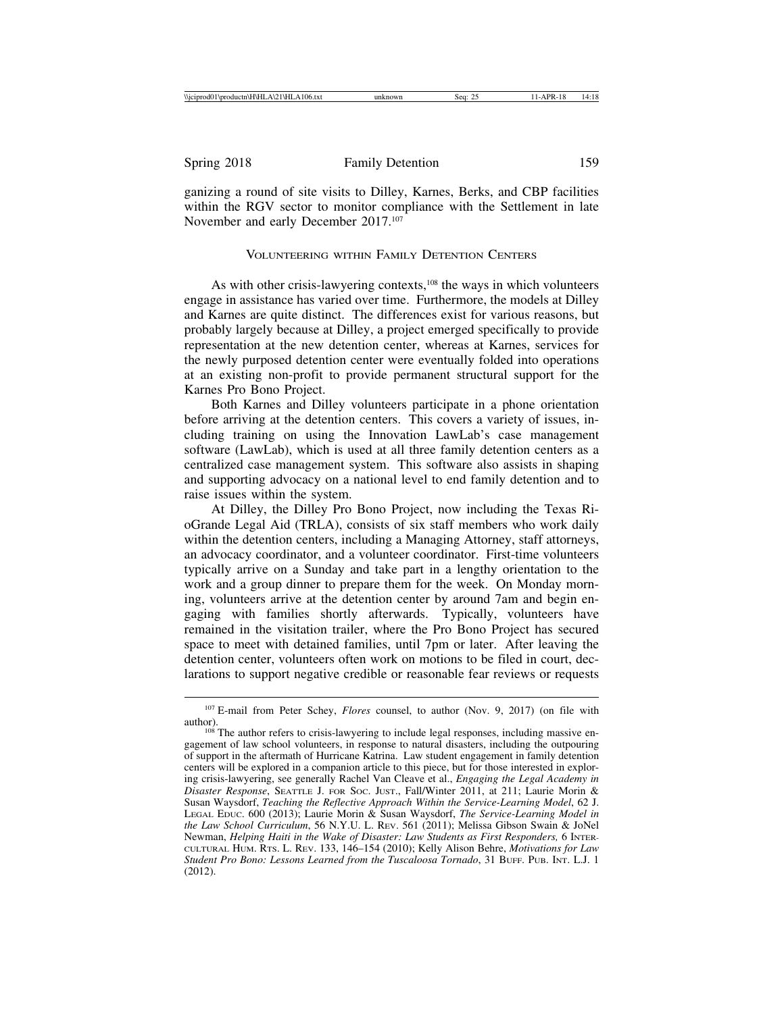ganizing a round of site visits to Dilley, Karnes, Berks, and CBP facilities within the RGV sector to monitor compliance with the Settlement in late November and early December 2017.107

## VOLUNTEERING WITHIN FAMILY DETENTION CENTERS

As with other crisis-lawyering contexts,<sup>108</sup> the ways in which volunteers engage in assistance has varied over time. Furthermore, the models at Dilley and Karnes are quite distinct. The differences exist for various reasons, but probably largely because at Dilley, a project emerged specifically to provide representation at the new detention center, whereas at Karnes, services for the newly purposed detention center were eventually folded into operations at an existing non-profit to provide permanent structural support for the Karnes Pro Bono Project.

Both Karnes and Dilley volunteers participate in a phone orientation before arriving at the detention centers. This covers a variety of issues, including training on using the Innovation LawLab's case management software (LawLab), which is used at all three family detention centers as a centralized case management system. This software also assists in shaping and supporting advocacy on a national level to end family detention and to raise issues within the system.

At Dilley, the Dilley Pro Bono Project, now including the Texas RioGrande Legal Aid (TRLA), consists of six staff members who work daily within the detention centers, including a Managing Attorney, staff attorneys, an advocacy coordinator, and a volunteer coordinator. First-time volunteers typically arrive on a Sunday and take part in a lengthy orientation to the work and a group dinner to prepare them for the week. On Monday morning, volunteers arrive at the detention center by around 7am and begin engaging with families shortly afterwards. Typically, volunteers have remained in the visitation trailer, where the Pro Bono Project has secured space to meet with detained families, until 7pm or later. After leaving the detention center, volunteers often work on motions to be filed in court, declarations to support negative credible or reasonable fear reviews or requests

<sup>&</sup>lt;sup>107</sup> E-mail from Peter Schey, *Flores* counsel, to author (Nov. 9, 2017) (on file with author).

 $108$  The author refers to crisis-lawyering to include legal responses, including massive engagement of law school volunteers, in response to natural disasters, including the outpouring of support in the aftermath of Hurricane Katrina. Law student engagement in family detention centers will be explored in a companion article to this piece, but for those interested in exploring crisis-lawyering, see generally Rachel Van Cleave et al., *Engaging the Legal Academy in Disaster Response*, SEATTLE J. FOR SOC. JUST., Fall/Winter 2011, at 211; Laurie Morin & Susan Waysdorf, *Teaching the Reflective Approach Within the Service-Learning Model*, 62 J. LEGAL EDUC. 600 (2013); Laurie Morin & Susan Waysdorf, *The Service-Learning Model in the Law School Curriculum*, 56 N.Y.U. L. REV. 561 (2011); Melissa Gibson Swain & JoNel Newman, *Helping Haiti in the Wake of Disaster: Law Students as First Responders,* 6 INTER-CULTURAL HUM. RTS. L. REV. 133, 146–154 (2010); Kelly Alison Behre, *Motivations for Law Student Pro Bono: Lessons Learned from the Tuscaloosa Tornado*, 31 BUFF. PUB. INT. L.J. 1 (2012).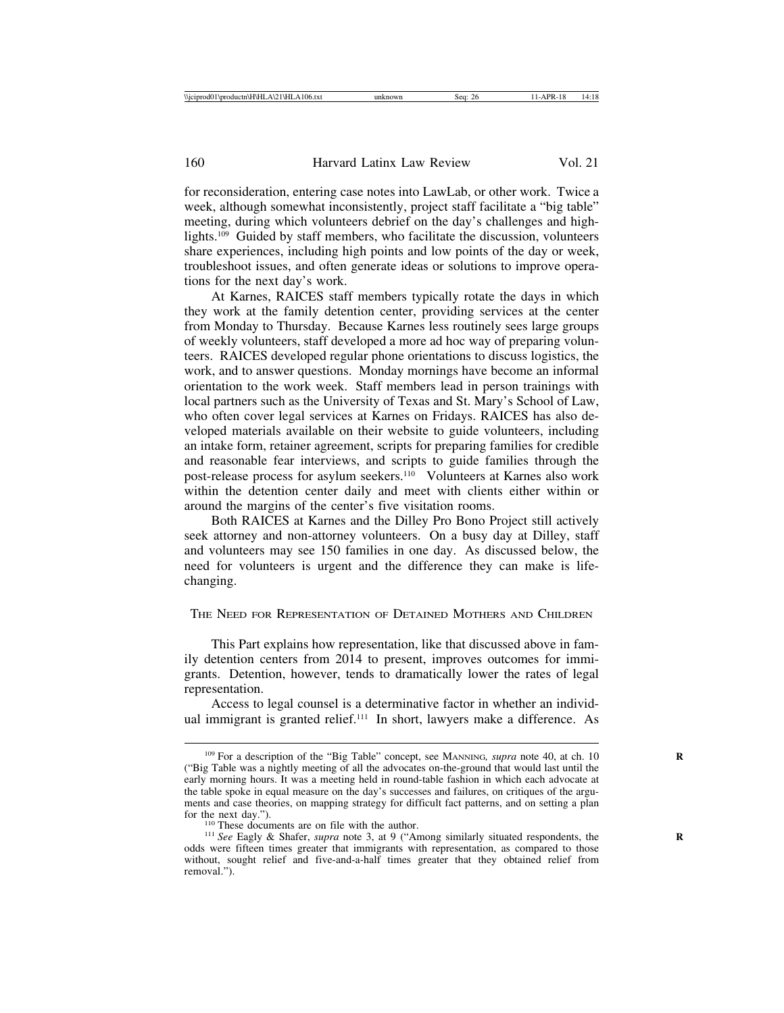for reconsideration, entering case notes into LawLab, or other work. Twice a week, although somewhat inconsistently, project staff facilitate a "big table" meeting, during which volunteers debrief on the day's challenges and highlights.109 Guided by staff members, who facilitate the discussion, volunteers share experiences, including high points and low points of the day or week, troubleshoot issues, and often generate ideas or solutions to improve operations for the next day's work.

At Karnes, RAICES staff members typically rotate the days in which they work at the family detention center, providing services at the center from Monday to Thursday. Because Karnes less routinely sees large groups of weekly volunteers, staff developed a more ad hoc way of preparing volunteers. RAICES developed regular phone orientations to discuss logistics, the work, and to answer questions. Monday mornings have become an informal orientation to the work week. Staff members lead in person trainings with local partners such as the University of Texas and St. Mary's School of Law, who often cover legal services at Karnes on Fridays. RAICES has also developed materials available on their website to guide volunteers, including an intake form, retainer agreement, scripts for preparing families for credible and reasonable fear interviews, and scripts to guide families through the post-release process for asylum seekers.<sup>110</sup> Volunteers at Karnes also work within the detention center daily and meet with clients either within or around the margins of the center's five visitation rooms.

Both RAICES at Karnes and the Dilley Pro Bono Project still actively seek attorney and non-attorney volunteers. On a busy day at Dilley, staff and volunteers may see 150 families in one day. As discussed below, the need for volunteers is urgent and the difference they can make is lifechanging.

THE NEED FOR REPRESENTATION OF DETAINED MOTHERS AND CHILDREN

This Part explains how representation, like that discussed above in family detention centers from 2014 to present, improves outcomes for immigrants. Detention, however, tends to dramatically lower the rates of legal representation.

Access to legal counsel is a determinative factor in whether an individual immigrant is granted relief.111 In short, lawyers make a difference. As

<sup>&</sup>lt;sup>109</sup> For a description of the "Big Table" concept, see MANNING, supra note 40, at ch. 10 ("Big Table was a nightly meeting of all the advocates on-the-ground that would last until the early morning hours. It was a meeting held in round-table fashion in which each advocate at the table spoke in equal measure on the day's successes and failures, on critiques of the arguments and case theories, on mapping strategy for difficult fact patterns, and on setting a plan

for the next day.").<br><sup>110</sup> These documents are on file with the author.<br><sup>111</sup> *See* Eagly & Shafer, *supra* note 3, at 9 ("Among similarly situated respondents, the odds were fifteen times greater that immigrants with representation, as compared to those without, sought relief and five-and-a-half times greater that they obtained relief from removal.").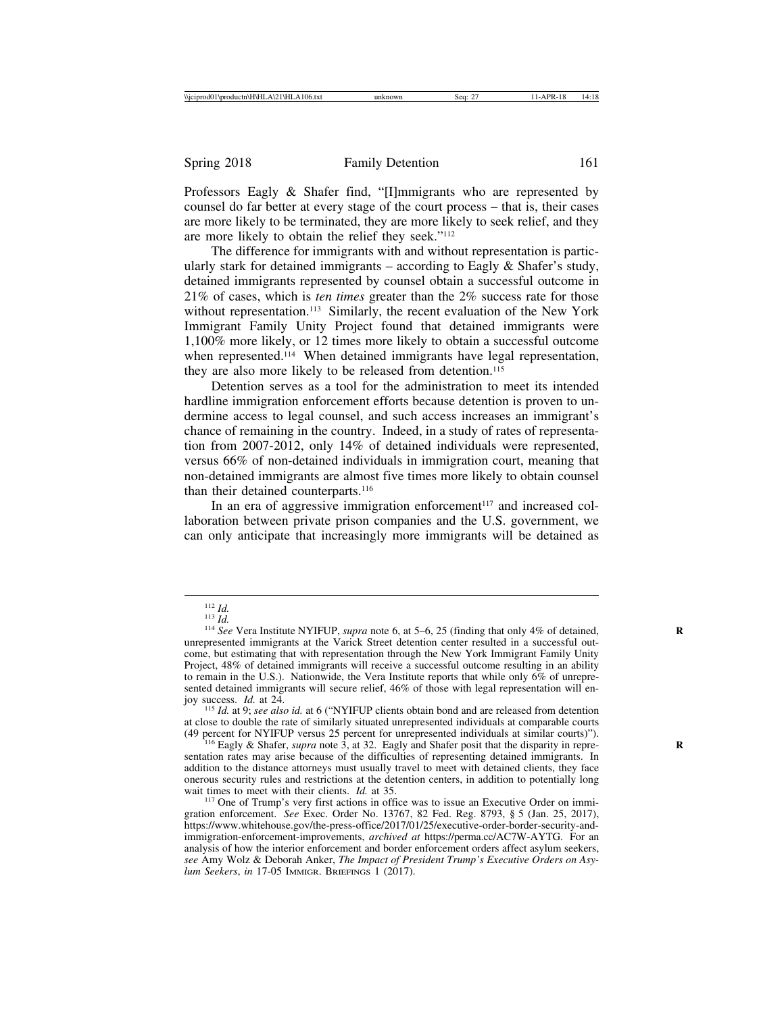Professors Eagly & Shafer find, "[I]mmigrants who are represented by counsel do far better at every stage of the court process – that is, their cases are more likely to be terminated, they are more likely to seek relief, and they are more likely to obtain the relief they seek."112

The difference for immigrants with and without representation is particularly stark for detained immigrants  $-$  according to Eagly  $\&$  Shafer's study, detained immigrants represented by counsel obtain a successful outcome in 21% of cases, which is *ten times* greater than the 2% success rate for those without representation.<sup>113</sup> Similarly, the recent evaluation of the New York Immigrant Family Unity Project found that detained immigrants were 1,100% more likely, or 12 times more likely to obtain a successful outcome when represented.<sup>114</sup> When detained immigrants have legal representation, they are also more likely to be released from detention.<sup>115</sup>

Detention serves as a tool for the administration to meet its intended hardline immigration enforcement efforts because detention is proven to undermine access to legal counsel, and such access increases an immigrant's chance of remaining in the country. Indeed, in a study of rates of representation from 2007-2012, only 14% of detained individuals were represented, versus 66% of non-detained individuals in immigration court, meaning that non-detained immigrants are almost five times more likely to obtain counsel than their detained counterparts.<sup>116</sup>

In an era of aggressive immigration enforcement $117$  and increased collaboration between private prison companies and the U.S. government, we can only anticipate that increasingly more immigrants will be detained as

<sup>112</sup> *Id.* <sup>113</sup> *Id.* <sup>114</sup> *See* Vera Institute NYIFUP, *supra* note 6, at 5–6, 25 (finding that only 4% of detained, **<sup>R</sup>** unrepresented immigrants at the Varick Street detention center resulted in a successful outcome, but estimating that with representation through the New York Immigrant Family Unity Project, 48% of detained immigrants will receive a successful outcome resulting in an ability to remain in the U.S.). Nationwide, the Vera Institute reports that while only 6% of unrepresented detained immigrants will secure relief,  $46\%$  of those with legal representation will en-<br>joy success. *Id.* at 24.

<sup>&</sup>lt;sup>115</sup> *Id.* at 9; see also id. at 6 ("NYIFUP clients obtain bond and are released from detention at close to double the rate of similarly situated unrepresented individuals at comparable courts (49 percent for NYIFUP versus 25 percent for unrepresented individuals at similar courts)"). <sup>116</sup> Eagly & Shafer, *supra* note 3, at 32. Eagly and Shafer posit that the disparity in repre- **<sup>R</sup>**

sentation rates may arise because of the difficulties of representing detained immigrants. In addition to the distance attorneys must usually travel to meet with detained clients, they face onerous security rules and restrictions at the detention centers, in addition to potentially long wait times to meet with their clients.  $Id$  at 35.

<sup>&</sup>lt;sup>117</sup> One of Trump's very first actions in office was to issue an Executive Order on immigration enforcement. *See* Exec. Order No. 13767, 82 Fed. Reg. 8793, § 5 (Jan. 25, 2017), https://www.whitehouse.gov/the-press-office/2017/01/25/executive-order-border-security-andimmigration-enforcement-improvements, *archived at* https://perma.cc/AC7W-AYTG. For an analysis of how the interior enforcement and border enforcement orders affect asylum seekers, *see* Amy Wolz & Deborah Anker, *The Impact of President Trump's Executive Orders on Asylum Seekers*, *in* 17-05 IMMIGR. BRIEFINGS 1 (2017).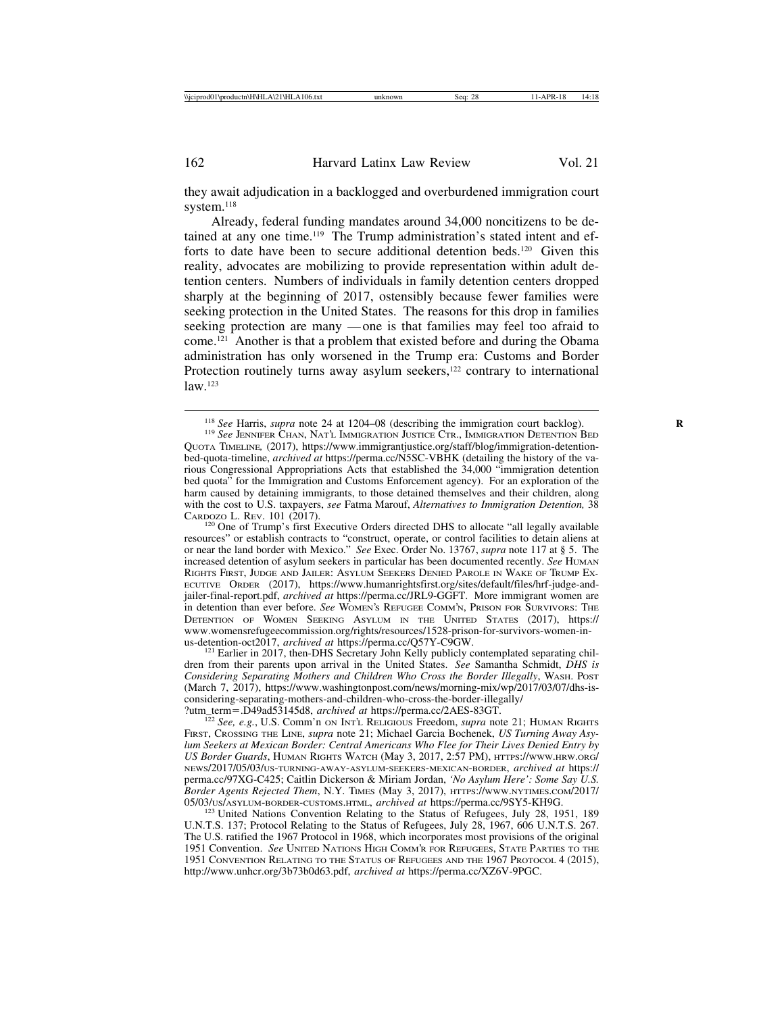they await adjudication in a backlogged and overburdened immigration court system.<sup>118</sup>

Already, federal funding mandates around 34,000 noncitizens to be detained at any one time.119 The Trump administration's stated intent and efforts to date have been to secure additional detention beds.120 Given this reality, advocates are mobilizing to provide representation within adult detention centers. Numbers of individuals in family detention centers dropped sharply at the beginning of 2017, ostensibly because fewer families were seeking protection in the United States. The reasons for this drop in families seeking protection are many — one is that families may feel too afraid to come.121 Another is that a problem that existed before and during the Obama administration has only worsened in the Trump era: Customs and Border Protection routinely turns away asylum seekers,<sup>122</sup> contrary to international law.123

resources" or establish contracts to "construct, operate, or control facilities to detain aliens at or near the land border with Mexico." *See* Exec. Order No. 13767, *supra* note 117 at § 5. The increased detention of asylum seekers in particular has been documented recently. *See* HUMAN RIGHTS FIRST, JUDGE AND JAILER: ASYLUM SEEKERS DENIED PAROLE IN WAKE OF TRUMP EX-ECUTIVE ORDER (2017), https://www.humanrightsfirst.org/sites/default/files/hrf-judge-andjailer-final-report.pdf, *archived at* https://perma.cc/JRL9-GGFT. More immigrant women are in detention than ever before. *See* WOMEN'S REFUGEE COMM'N, PRISON FOR SURVIVORS: THE DETENTION OF WOMEN SEEKING ASYLUM IN THE UNITED STATES (2017), https:// www.womensrefugeecommission.org/rights/resources/1528-prison-for-survivors-women-inus-detention-oct2017, *archived at* https://perma.cc/Q57Y-C9GW.<br><sup>121</sup> Earlier in 2017, then-DHS Secretary John Kelly publicly contemplated separating chil-

dren from their parents upon arrival in the United States. *See* Samantha Schmidt, *DHS is Considering Separating Mothers and Children Who Cross the Border Illegally*, WASH. POST (March 7, 2017), https://www.washingtonpost.com/news/morning-mix/wp/2017/03/07/dhs-isconsidering-separating-mothers-and-children-who-cross-the-border-illegally/

?utm\_term=.D49ad53145d8, *archived at* https://perma.cc/2AES-83GT. <sup>122</sup> *See, e.g.*, U.S. Comm'n ON INT'L RELIGIOUS Freedom, *supra* note 21; HUMAN RIGHTS FIRST, CROSSING THE LINE, *supra* note 21; Michael Garcia Bochenek, *US Turning Away Asylum Seekers at Mexican Border: Central Americans Who Flee for Their Lives Denied Entry by US Border Guards*, HUMAN RIGHTS WATCH (May 3, 2017, 2:57 PM), HTTPS://WWW.HRW.ORG/ NEWS/2017/05/03/US-TURNING-AWAY-ASYLUM-SEEKERS-MEXICAN-BORDER, *archived at* https:// perma.cc/97XG-C425; Caitlin Dickerson & Miriam Jordan, *'No Asylum Here': Some Say U.S. Border Agents Rejected Them*, N.Y. TIMES (May 3, 2017), HTTPS://WWW.NYTIMES.COM/2017/<br>05/03/us/Asylum-Border-customs.html., *archived at https://perma.cc/9SY5-KH9G*.

<sup>123</sup> United Nations Convention Relating to the Status of Refugees, July 28, 1951, 189 U.N.T.S. 137; Protocol Relating to the Status of Refugees, July 28, 1967, 606 U.N.T.S. 267. The U.S. ratified the 1967 Protocol in 1968, which incorporates most provisions of the original 1951 Convention. *See* UNITED NATIONS HIGH COMM'R FOR REFUGEES, STATE PARTIES TO THE 1951 CONVENTION RELATING TO THE STATUS OF REFUGEES AND THE 1967 PROTOCOL 4 (2015), http://www.unhcr.org/3b73b0d63.pdf, *archived at* https://perma.cc/XZ6V-9PGC.

<sup>&</sup>lt;sup>118</sup> *See* Harris, *supra* note 24 at 1204–08 (describing the immigration court backlog). *Ree JENNIFER CHAN, NAT'L IMMIGRATION JUSTICE CTR., IMMIGRATION DETENTION BED* QUOTA TIMELINE*,* (2017), https://www.immigrantjustice.org/staff/blog/immigration-detentionbed-quota-timeline, *archived at* https://perma.cc/N5SC-VBHK (detailing the history of the various Congressional Appropriations Acts that established the 34,000 "immigration detention bed quota" for the Immigration and Customs Enforcement agency). For an exploration of the harm caused by detaining immigrants, to those detained themselves and their children, along with the cost to U.S. taxpayers, *see* Fatma Marouf, *Alternatives to Immigration Detention,* 38 CARDOZO L. REV. 101 (2017). <sup>120</sup> One of Trump's first Executive Orders directed DHS to allocate "all legally available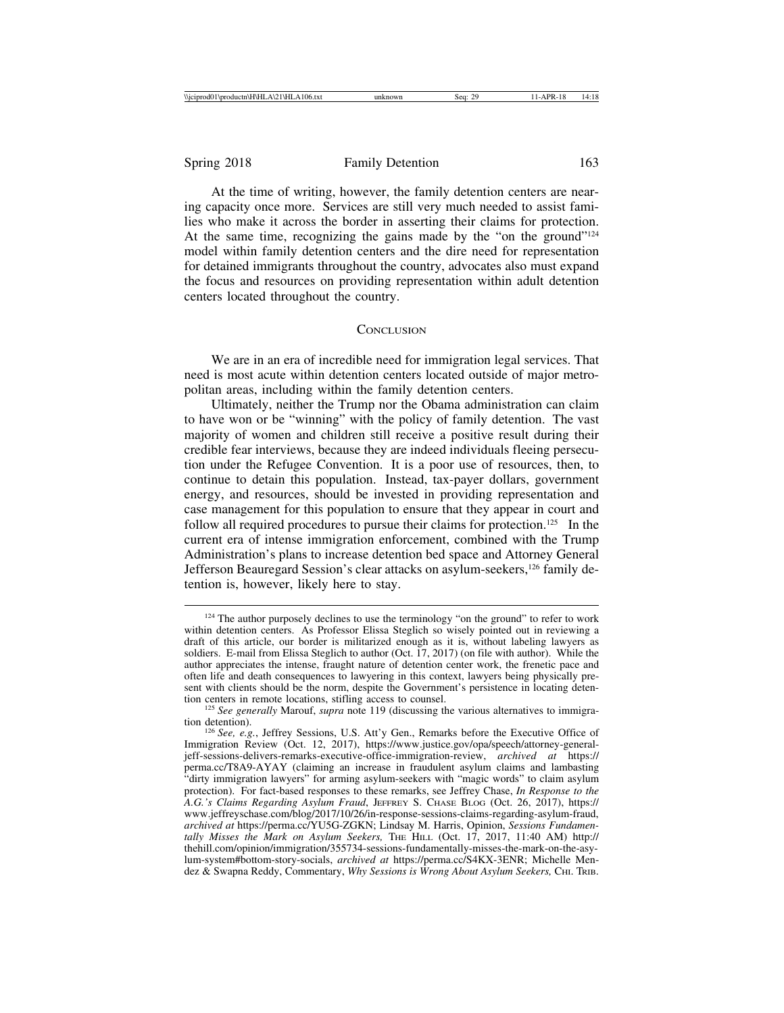At the time of writing, however, the family detention centers are nearing capacity once more. Services are still very much needed to assist families who make it across the border in asserting their claims for protection. At the same time, recognizing the gains made by the "on the ground"124 model within family detention centers and the dire need for representation for detained immigrants throughout the country, advocates also must expand the focus and resources on providing representation within adult detention centers located throughout the country.

#### **CONCLUSION**

We are in an era of incredible need for immigration legal services. That need is most acute within detention centers located outside of major metropolitan areas, including within the family detention centers.

Ultimately, neither the Trump nor the Obama administration can claim to have won or be "winning" with the policy of family detention. The vast majority of women and children still receive a positive result during their credible fear interviews, because they are indeed individuals fleeing persecution under the Refugee Convention. It is a poor use of resources, then, to continue to detain this population. Instead, tax-payer dollars, government energy, and resources, should be invested in providing representation and case management for this population to ensure that they appear in court and follow all required procedures to pursue their claims for protection.<sup>125</sup> In the current era of intense immigration enforcement, combined with the Trump Administration's plans to increase detention bed space and Attorney General Jefferson Beauregard Session's clear attacks on asylum-seekers,126 family detention is, however, likely here to stay.

<sup>&</sup>lt;sup>124</sup> The author purposely declines to use the terminology "on the ground" to refer to work within detention centers. As Professor Elissa Steglich so wisely pointed out in reviewing a draft of this article, our border is militarized enough as it is, without labeling lawyers as soldiers. E-mail from Elissa Steglich to author (Oct. 17, 2017) (on file with author). While the author appreciates the intense, fraught nature of detention center work, the frenetic pace and often life and death consequences to lawyering in this context, lawyers being physically present with clients should be the norm, despite the Government's persistence in locating detention centers in remote locations, stifling access to counsel.

<sup>&</sup>lt;sup>125</sup> *See generally Marouf, supra* note 119 (discussing the various alternatives to immigration detention).

<sup>&</sup>lt;sup>126</sup> See, e.g., Jeffrey Sessions, U.S. Att'y Gen., Remarks before the Executive Office of Immigration Review (Oct. 12, 2017), https://www.justice.gov/opa/speech/attorney-generaljeff-sessions-delivers-remarks-executive-office-immigration-review, *archived at* https:// perma.cc/T8A9-AYAY (claiming an increase in fraudulent asylum claims and lambasting "dirty immigration lawyers" for arming asylum-seekers with "magic words" to claim asylum protection). For fact-based responses to these remarks, see Jeffrey Chase, *In Response to the A.G.'s Claims Regarding Asylum Fraud*, JEFFREY S. CHASE BLOG (Oct. 26, 2017), https:// www.jeffreyschase.com/blog/2017/10/26/in-response-sessions-claims-regarding-asylum-fraud, *archived at* https://perma.cc/YU5G-ZGKN; Lindsay M. Harris, Opinion, *Sessions Fundamentally Misses the Mark on Asylum Seekers,* THE HILL (Oct. 17, 2017, 11:40 AM) http:// thehill.com/opinion/immigration/355734-sessions-fundamentally-misses-the-mark-on-the-asylum-system#bottom-story-socials, *archived at* https://perma.cc/S4KX-3ENR; Michelle Mendez & Swapna Reddy, Commentary, *Why Sessions is Wrong About Asylum Seekers*, CHI. TRIB.